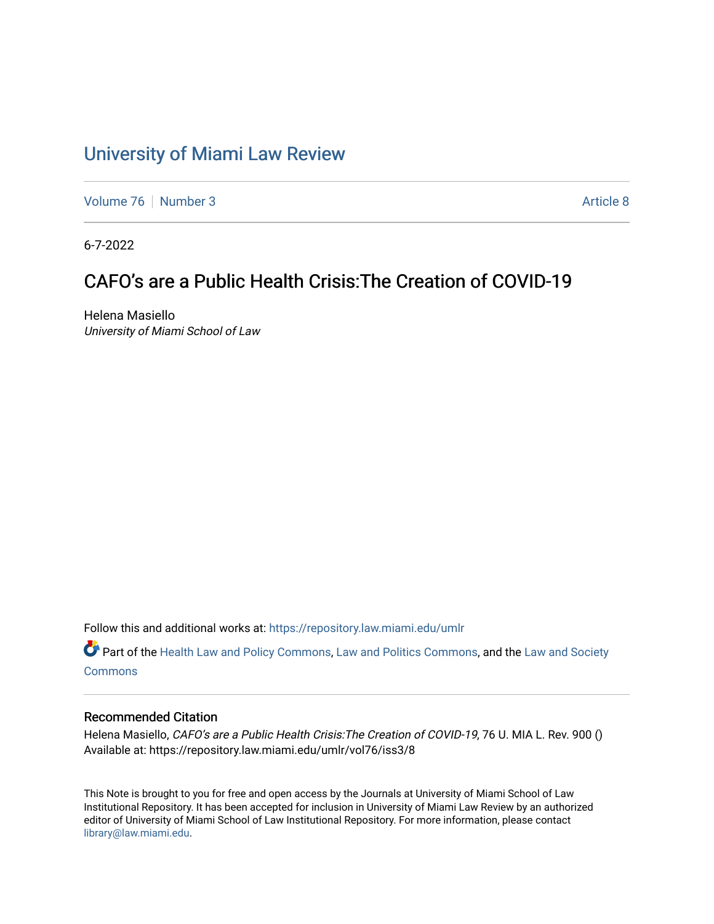# [University of Miami Law Review](https://repository.law.miami.edu/umlr)

[Volume 76](https://repository.law.miami.edu/umlr/vol76) [Number 3](https://repository.law.miami.edu/umlr/vol76/iss3) [Article 8](https://repository.law.miami.edu/umlr/vol76/iss3/8) Article 8

6-7-2022

## CAFO's are a Public Health Crisis:The Creation of COVID-19

Helena Masiello University of Miami School of Law

Follow this and additional works at: [https://repository.law.miami.edu/umlr](https://repository.law.miami.edu/umlr?utm_source=repository.law.miami.edu%2Fumlr%2Fvol76%2Fiss3%2F8&utm_medium=PDF&utm_campaign=PDFCoverPages)

Part of the [Health Law and Policy Commons](https://network.bepress.com/hgg/discipline/901?utm_source=repository.law.miami.edu%2Fumlr%2Fvol76%2Fiss3%2F8&utm_medium=PDF&utm_campaign=PDFCoverPages), [Law and Politics Commons,](https://network.bepress.com/hgg/discipline/867?utm_source=repository.law.miami.edu%2Fumlr%2Fvol76%2Fiss3%2F8&utm_medium=PDF&utm_campaign=PDFCoverPages) and the [Law and Society](https://network.bepress.com/hgg/discipline/853?utm_source=repository.law.miami.edu%2Fumlr%2Fvol76%2Fiss3%2F8&utm_medium=PDF&utm_campaign=PDFCoverPages) **[Commons](https://network.bepress.com/hgg/discipline/853?utm_source=repository.law.miami.edu%2Fumlr%2Fvol76%2Fiss3%2F8&utm_medium=PDF&utm_campaign=PDFCoverPages)** 

#### Recommended Citation

Helena Masiello, CAFO's are a Public Health Crisis: The Creation of COVID-19, 76 U. MIA L. Rev. 900 () Available at: https://repository.law.miami.edu/umlr/vol76/iss3/8

This Note is brought to you for free and open access by the Journals at University of Miami School of Law Institutional Repository. It has been accepted for inclusion in University of Miami Law Review by an authorized editor of University of Miami School of Law Institutional Repository. For more information, please contact [library@law.miami.edu.](mailto:library@law.miami.edu)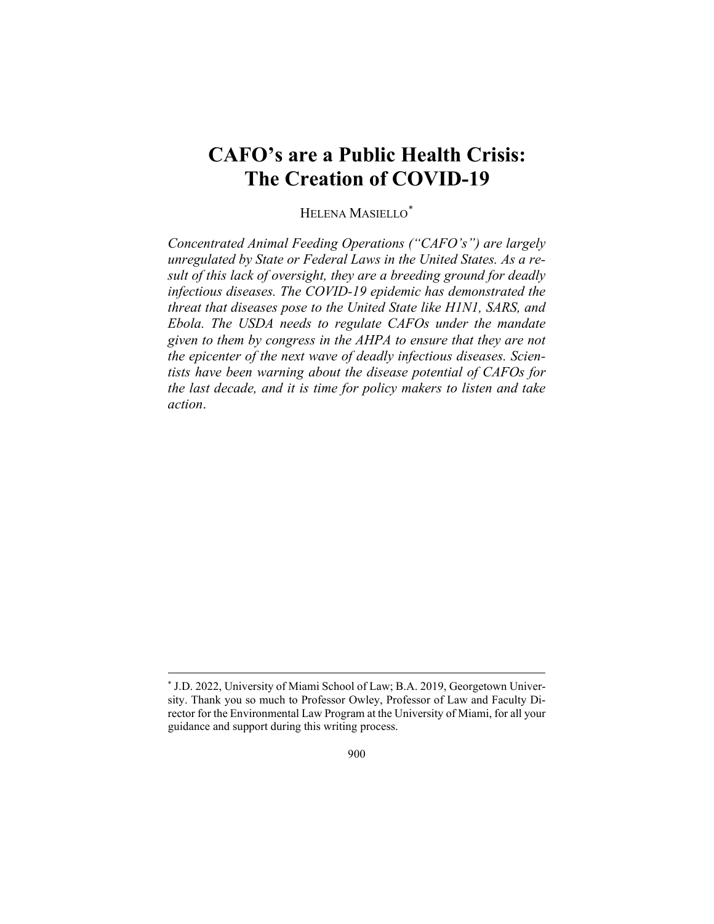## **CAFO's are a Public Health Crisis: The Creation of COVID-19**

HELENA MASIELLO[\\*](#page-1-0)

*Concentrated Animal Feeding Operations ("CAFO's") are largely unregulated by State or Federal Laws in the United States. As a result of this lack of oversight, they are a breeding ground for deadly infectious diseases. The COVID-19 epidemic has demonstrated the threat that diseases pose to the United State like H1N1, SARS, and Ebola. The USDA needs to regulate CAFOs under the mandate given to them by congress in the AHPA to ensure that they are not the epicenter of the next wave of deadly infectious diseases. Scientists have been warning about the disease potential of CAFOs for the last decade, and it is time for policy makers to listen and take action*.

<span id="page-1-0"></span><sup>\*</sup> J.D. 2022, University of Miami School of Law; B.A. 2019, Georgetown University. Thank you so much to Professor Owley, Professor of Law and Faculty Director for the Environmental Law Program at the University of Miami, for all your guidance and support during this writing process.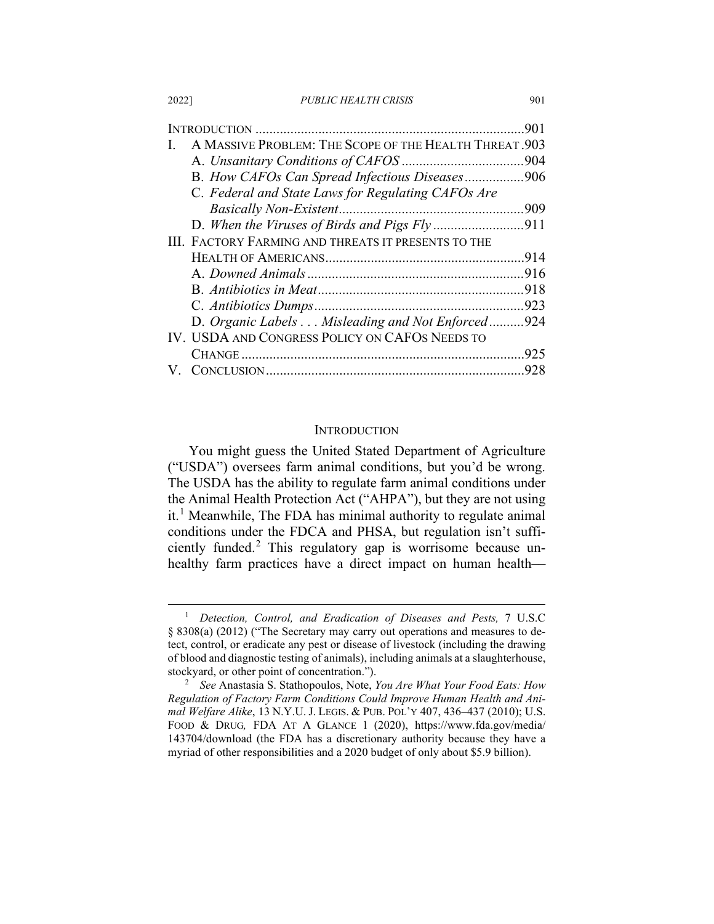2022] *PUBLIC HEALTH CRISIS* 901

|                                                            | .901 |
|------------------------------------------------------------|------|
| A MASSIVE PROBLEM: THE SCOPE OF THE HEALTH THREAT. 903     |      |
|                                                            |      |
| B. How CAFOs Can Spread Infectious Diseases906             |      |
| C. Federal and State Laws for Regulating CAFOs Are         |      |
|                                                            | .909 |
|                                                            |      |
| <b>III. FACTORY FARMING AND THREATS IT PRESENTS TO THE</b> |      |
|                                                            |      |
|                                                            |      |
|                                                            |      |
|                                                            | 923  |
| D. Organic Labels Misleading and Not Enforced              | .924 |
| IV. USDA AND CONGRESS POLICY ON CAFOS NEEDS TO             |      |
|                                                            | .925 |
|                                                            | 928  |

#### **INTRODUCTION**

You might guess the United Stated Department of Agriculture ("USDA") oversees farm animal conditions, but you'd be wrong. The USDA has the ability to regulate farm animal conditions under the Animal Health Protection Act ("AHPA"), but they are not using  $it<sup>1</sup>$  $it<sup>1</sup>$  $it<sup>1</sup>$  Meanwhile, The FDA has minimal authority to regulate animal conditions under the FDCA and PHSA, but regulation isn't sufficiently funded.[2](#page-2-1) This regulatory gap is worrisome because unhealthy farm practices have a direct impact on human health-

<span id="page-2-2"></span><span id="page-2-0"></span><sup>1</sup> *Detection, Control, and Eradication of Diseases and Pests,* 7 U.S.C § 8308(a) (2012) ("The Secretary may carry out operations and measures to detect, control, or eradicate any pest or disease of livestock (including the drawing of blood and diagnostic testing of animals), including animals at a slaughterhouse, stockyard, or other point of concentration.").

<span id="page-2-1"></span><sup>2</sup> *See* Anastasia S. Stathopoulos, Note, *You Are What Your Food Eats: How Regulation of Factory Farm Conditions Could Improve Human Health and Animal Welfare Alike*, 13 N.Y.U. J. LEGIS. & PUB. POL'Y 407, 436–437 (2010); U.S. FOOD & DRUG*,* FDA AT A GLANCE 1 (2020), https://www.fda.gov/media/ 143704/download (the FDA has a discretionary authority because they have a myriad of other responsibilities and a 2020 budget of only about \$5.9 billion).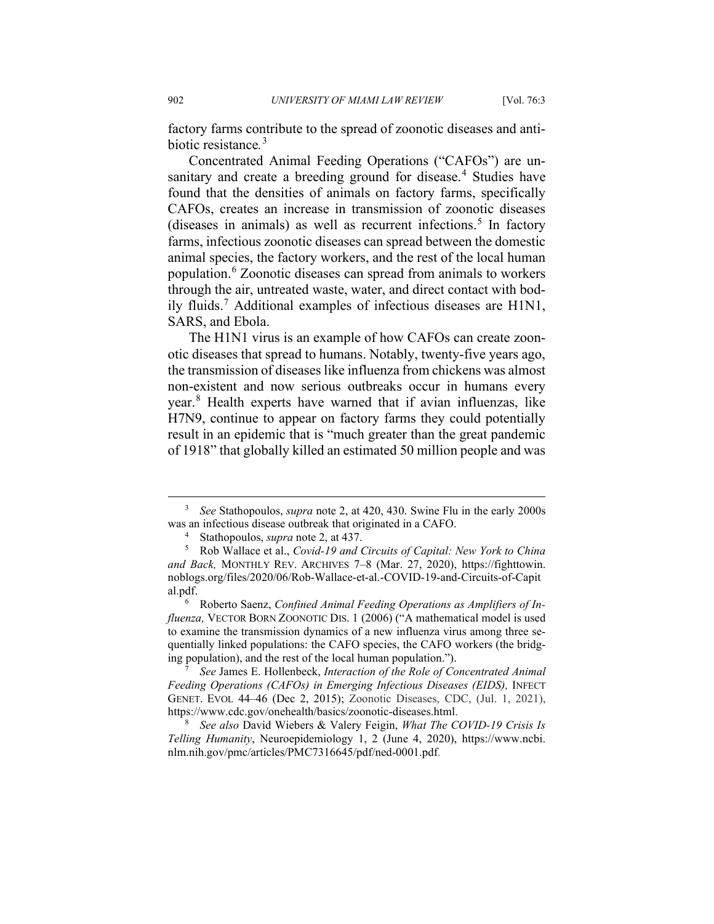factory farms contribute to the spread of zoonotic diseases and antibiotic resistance*.* [3](#page-3-0)

<span id="page-3-6"></span>Concentrated Animal Feeding Operations ("CAFOs") are un-sanitary and create a breeding ground for disease.<sup>[4](#page-3-1)</sup> Studies have found that the densities of animals on factory farms, specifically CAFOs, creates an increase in transmission of zoonotic diseases (diseases in animals) as well as recurrent infections.<sup>[5](#page-3-2)</sup> In factory farms, infectious zoonotic diseases can spread between the domestic animal species, the factory workers, and the rest of the local human population.[6](#page-3-3) Zoonotic diseases can spread from animals to workers through the air, untreated waste, water, and direct contact with bodily fluids.[7](#page-3-4) Additional examples of infectious diseases are H1N1, SARS, and Ebola.

<span id="page-3-8"></span><span id="page-3-7"></span>The H1N1 virus is an example of how CAFOs can create zoonotic diseases that spread to humans. Notably, twenty-five years ago, the transmission of diseases like influenza from chickens was almost non-existent and now serious outbreaks occur in humans every year.[8](#page-3-5) Health experts have warned that if avian influenzas, like H7N9, continue to appear on factory farms they could potentially result in an epidemic that is "much greater than the great pandemic of 1918" that globally killed an estimated 50 million people and was

<span id="page-3-0"></span><sup>3</sup> *See* Stathopoulos, *supra* note [2,](#page-2-2) at 420, 430. Swine Flu in the early 2000s was an infectious disease outbreak that originated in a CAFO.<br><sup>4</sup> Stathopoulos, *supra* not[e 2,](#page-2-2) at 437.<br><sup>5</sup> Rob Wallace et al. *Covid-19 and Circuits of Canital*:

<span id="page-3-2"></span><span id="page-3-1"></span><sup>5</sup> Rob Wallace et al., *Covid-19 and Circuits of Capital: New York to China and Back,* MONTHLY REV. ARCHIVES 7–8 (Mar. 27, 2020), https://fighttowin. noblogs.org/files/2020/06/Rob-Wallace-et-al.-COVID-19-and-Circuits-of-Capit al.pdf.

<span id="page-3-3"></span><sup>6</sup> Roberto Saenz, *Confined Animal Feeding Operations as Amplifiers of Influenza,* VECTOR BORN ZOONOTIC DIS. 1 (2006) ("A mathematical model is used to examine the transmission dynamics of a new influenza virus among three sequentially linked populations: the CAFO species, the CAFO workers (the bridging population), and the rest of the local human population.").

<span id="page-3-4"></span><sup>7</sup> *See* James E. Hollenbeck, *Interaction of the Role of Concentrated Animal Feeding Operations (CAFOs) in Emerging Infectious Diseases (EIDS),* INFECT GENET. EVOL 44–46 (Dec 2, 2015); Zoonotic Diseases, CDC, (Jul. 1, 2021), https://www.cdc.gov/onehealth/basics/zoonotic-diseases.html.

<span id="page-3-5"></span><sup>8</sup> *See also* David Wiebers & Valery Feigin, *What The COVID-19 Crisis Is Telling Humanity*, Neuroepidemiology 1, 2 (June 4, 2020), https://www.ncbi. nlm.nih.gov/pmc/articles/PMC7316645/pdf/ned-0001.pdf.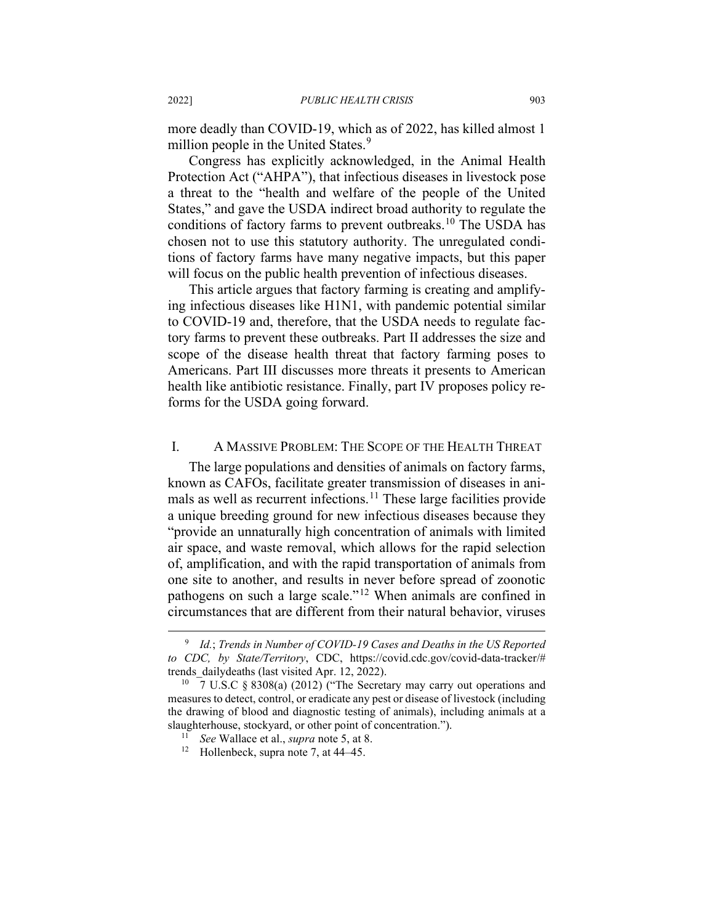more deadly than COVID-19, which as of 2022, has killed almost 1 million people in the United States.<sup>[9](#page-4-0)</sup>

Congress has explicitly acknowledged, in the Animal Health Protection Act ("AHPA"), that infectious diseases in livestock pose a threat to the "health and welfare of the people of the United States," and gave the USDA indirect broad authority to regulate the conditions of factory farms to prevent outbreaks.<sup>[10](#page-4-1)</sup> The USDA has chosen not to use this statutory authority. The unregulated conditions of factory farms have many negative impacts, but this paper will focus on the public health prevention of infectious diseases.

This article argues that factory farming is creating and amplifying infectious diseases like H1N1, with pandemic potential similar to COVID-19 and, therefore, that the USDA needs to regulate factory farms to prevent these outbreaks. Part II addresses the size and scope of the disease health threat that factory farming poses to Americans. Part III discusses more threats it presents to American health like antibiotic resistance. Finally, part IV proposes policy reforms for the USDA going forward.

#### I. A MASSIVE PROBLEM: THE SCOPE OF THE HEALTH THREAT

The large populations and densities of animals on factory farms, known as CAFOs, facilitate greater transmission of diseases in ani-mals as well as recurrent infections.<sup>[11](#page-4-2)</sup> These large facilities provide a unique breeding ground for new infectious diseases because they "provide an unnaturally high concentration of animals with limited air space, and waste removal, which allows for the rapid selection of, amplification, and with the rapid transportation of animals from one site to another, and results in never before spread of zoonotic pathogens on such a large scale."[12](#page-4-3) When animals are confined in circumstances that are different from their natural behavior, viruses

<span id="page-4-0"></span><sup>9</sup> *Id.*; *Trends in Number of COVID-19 Cases and Deaths in the US Reported to CDC, by State/Territory*, CDC, https://covid.cdc.gov/covid-data-tracker/# trends\_dailydeaths (last visited Apr. 12, 2022). <sup>10</sup>  $\frac{7 \text{ U.S.C}}{8308(a)}$  (2012) ("The Secretary may carry out operations and

<span id="page-4-3"></span><span id="page-4-2"></span><span id="page-4-1"></span>measures to detect, control, or eradicate any pest or disease of livestock (including the drawing of blood and diagnostic testing of animals), including animals at a slaughterhouse, stockyard, or other point of concentration.").

<sup>11</sup> *See* Wallace et al., *supra* not[e 5,](#page-3-6) at 8.

<sup>&</sup>lt;sup>12</sup> Hollenbeck, supra note [7,](#page-3-7) at 44–45.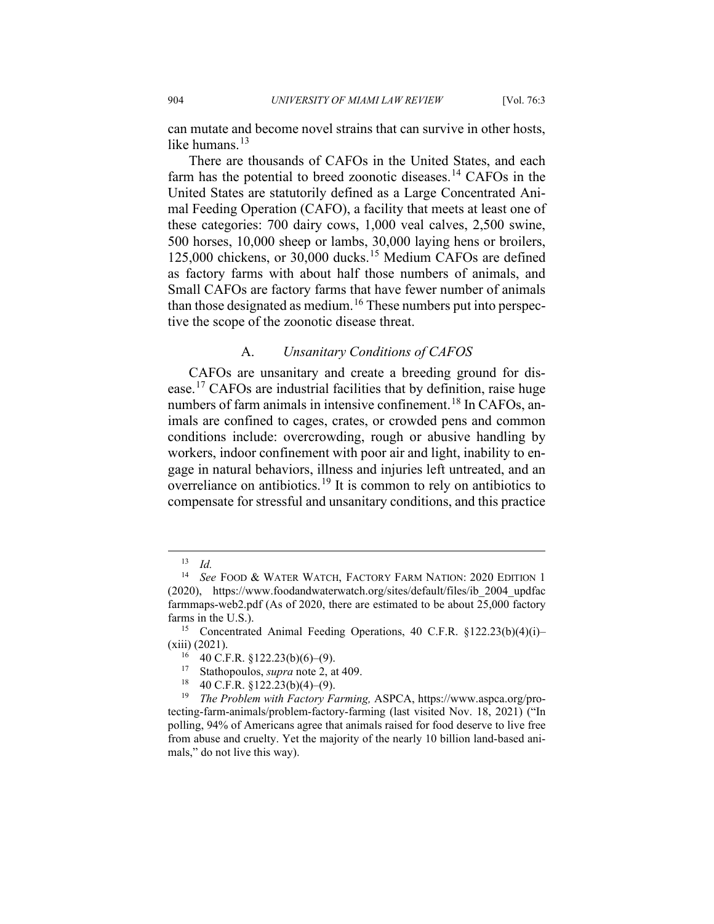can mutate and become novel strains that can survive in other hosts, like humans.<sup>[13](#page-5-0)</sup>

There are thousands of CAFOs in the United States, and each farm has the potential to breed zoonotic diseases.<sup>[14](#page-5-1)</sup> CAFOs in the United States are statutorily defined as a Large Concentrated Animal Feeding Operation (CAFO), a facility that meets at least one of these categories: 700 dairy cows, 1,000 veal calves, 2,500 swine, 500 horses, 10,000 sheep or lambs, 30,000 laying hens or broilers, 125,000 chickens, or 30,000 ducks.<sup>[15](#page-5-2)</sup> Medium CAFOs are defined as factory farms with about half those numbers of animals, and Small CAFOs are factory farms that have fewer number of animals than those designated as medium.<sup>[16](#page-5-3)</sup> These numbers put into perspective the scope of the zoonotic disease threat.

### <span id="page-5-8"></span><span id="page-5-7"></span>A. *Unsanitary Conditions of CAFOS*

CAFOs are unsanitary and create a breeding ground for disease.[17](#page-5-4) CAFOs are industrial facilities that by definition, raise huge numbers of farm animals in intensive confinement.<sup>[18](#page-5-5)</sup> In CAFOs, animals are confined to cages, crates, or crowded pens and common conditions include: overcrowding, rough or abusive handling by workers, indoor confinement with poor air and light, inability to engage in natural behaviors, illness and injuries left untreated, and an overreliance on antibiotics.[19](#page-5-6) It is common to rely on antibiotics to compensate for stressful and unsanitary conditions, and this practice

<sup>13</sup> *Id.*

<span id="page-5-1"></span><span id="page-5-0"></span><sup>14</sup> *See* FOOD & WATER WATCH, FACTORY FARM NATION: 2020 EDITION 1 (2020), https://www.foodandwaterwatch.org/sites/default/files/ib\_2004\_updfac farmmaps-web2.pdf (As of 2020, there are estimated to be about 25,000 factory farms in the U.S.).

<span id="page-5-2"></span><sup>15</sup> Concentrated Animal Feeding Operations, 40 C.F.R. §122.23(b)(4)(i)– (xiii) (2021).

<sup>16</sup> 40 C.F.R. §122.23(b)(6)–(9). 17 Stathopoulos, *supra* not[e 2,](#page-2-2) at 409.

<span id="page-5-6"></span><span id="page-5-5"></span><span id="page-5-4"></span><span id="page-5-3"></span><sup>18</sup> 40 C.F.R. §122.23(b)(4)–(9). 19 *The Problem with Factory Farming,* ASPCA, https://www.aspca.org/protecting-farm-animals/problem-factory-farming (last visited Nov. 18, 2021) ("In polling, 94% of Americans agree that animals raised for food deserve to live free from abuse and cruelty. Yet the majority of the nearly 10 billion land-based animals," do not live this way).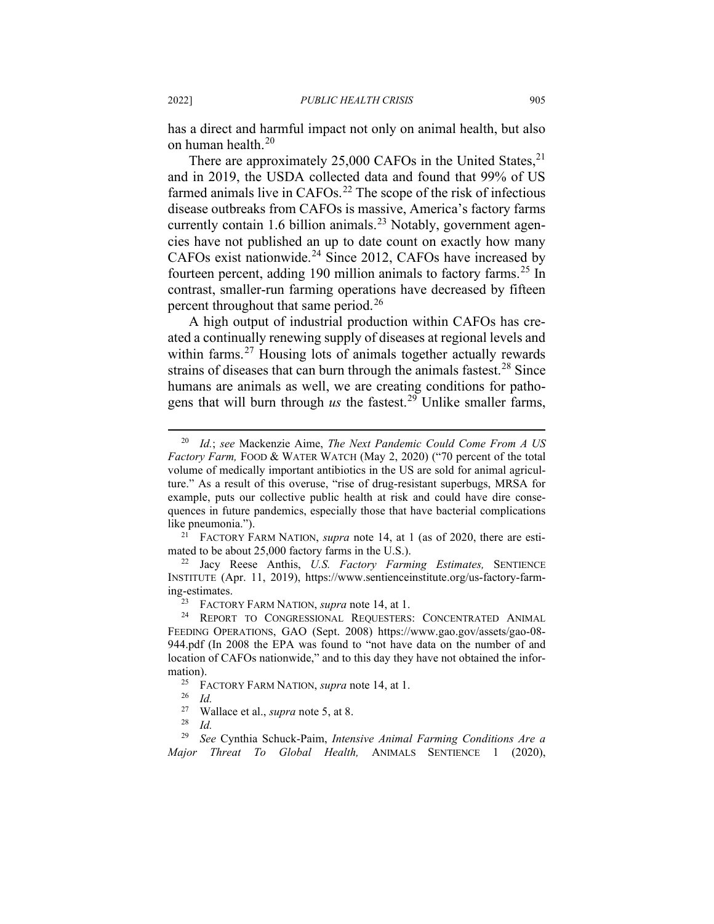has a direct and harmful impact not only on animal health, but also on human health.[20](#page-6-0)

There are approximately  $25,000$  CAFOs in the United States,  $21$ and in 2019, the USDA collected data and found that 99% of US farmed animals live in  $CAFOs.<sup>22</sup>$  $CAFOs.<sup>22</sup>$  $CAFOs.<sup>22</sup>$  The scope of the risk of infectious disease outbreaks from CAFOs is massive, America's factory farms currently contain 1.6 billion animals.<sup>[23](#page-6-3)</sup> Notably, government agencies have not published an up to date count on exactly how many CAFOs exist nationwide.<sup>[24](#page-6-4)</sup> Since 2012, CAFOs have increased by fourteen percent, adding 190 million animals to factory farms.<sup>[25](#page-6-5)</sup> In contrast, smaller-run farming operations have decreased by fifteen percent throughout that same period.<sup>[26](#page-6-6)</sup>

A high output of industrial production within CAFOs has created a continually renewing supply of diseases at regional levels and within farms.<sup>[27](#page-6-7)</sup> Housing lots of animals together actually rewards strains of diseases that can burn through the animals fastest.<sup>[28](#page-6-8)</sup> Since humans are animals as well, we are creating conditions for pathogens that will burn through  $\mu$ s the fastest.<sup>[29](#page-6-9)</sup> Unlike smaller farms,

<span id="page-6-0"></span><sup>20</sup> *Id.*; *see* Mackenzie Aime, *The Next Pandemic Could Come From A US Factory Farm, FOOD & WATER WATCH (May 2, 2020) ("70 percent of the total* volume of medically important antibiotics in the US are sold for animal agriculture." As a result of this overuse, "rise of drug-resistant superbugs, MRSA for example, puts our collective public health at risk and could have dire consequences in future pandemics, especially those that have bacterial complications like pneumonia.").

<span id="page-6-1"></span><sup>21</sup> FACTORY FARM NATION, *supra* note [14,](#page-5-7) at 1 (as of 2020, there are estimated to be about 25,000 factory farms in the U.S.).

<span id="page-6-2"></span><sup>22</sup> Jacy Reese Anthis, *U.S. Factory Farming Estimates,* SENTIENCE INSTITUTE (Apr. 11, 2019), https://www.sentienceinstitute.org/us-factory-farming-estimates.

<sup>23</sup> FACTORY FARM NATION, *supra* not[e 14,](#page-5-7) at 1.

<span id="page-6-4"></span><span id="page-6-3"></span><sup>24</sup> REPORT TO CONGRESSIONAL REQUESTERS: CONCENTRATED ANIMAL FEEDING OPERATIONS, GAO (Sept. 2008) https://www.gao.gov/assets/gao-08- 944.pdf (In 2008 the EPA was found to "not have data on the number of and location of CAFOs nationwide," and to this day they have not obtained the information).

<sup>&</sup>lt;sup>25</sup> FACTORY FARM NATION, *supra* not[e 14,](#page-5-7) at 1.

 $rac{26}{27}$  *Id.* 

<sup>&</sup>lt;sup>27</sup> Wallace et al., *supra* note [5,](#page-3-6) at 8.<br><sup>28</sup> *M* 

 $rac{28}{29}$  *Id.* 

<span id="page-6-9"></span><span id="page-6-8"></span><span id="page-6-7"></span><span id="page-6-6"></span><span id="page-6-5"></span><sup>29</sup> *See* Cynthia Schuck-Paim, *Intensive Animal Farming Conditions Are a Major Threat To Global Health,* ANIMALS SENTIENCE 1 (2020),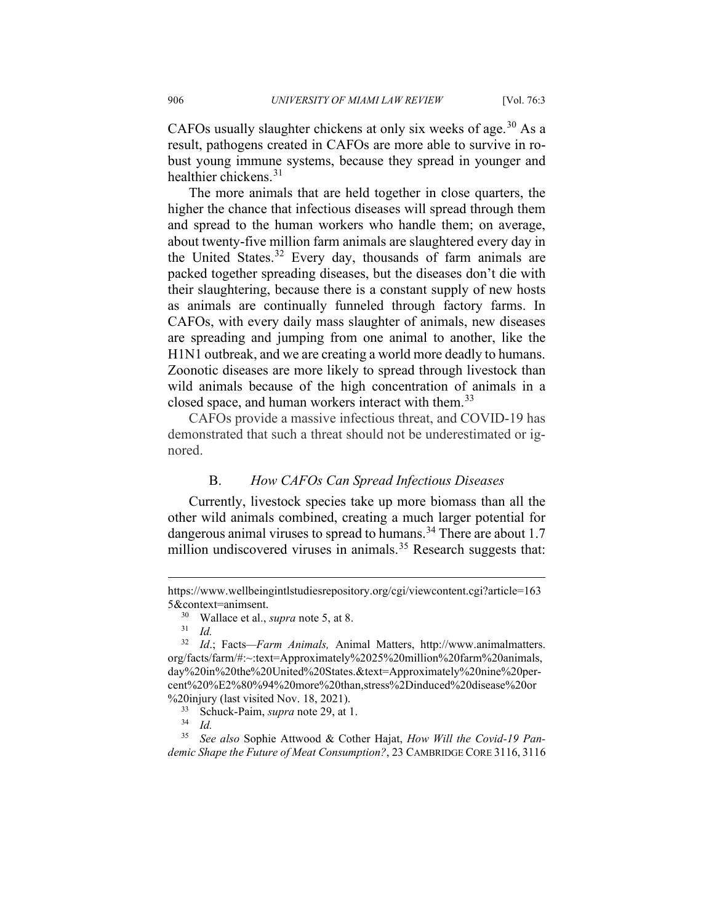CAFOs usually slaughter chickens at only six weeks of age.<sup>[30](#page-7-0)</sup> As a result, pathogens created in CAFOs are more able to survive in robust young immune systems, because they spread in younger and healthier chickens.[31](#page-7-1)

The more animals that are held together in close quarters, the higher the chance that infectious diseases will spread through them and spread to the human workers who handle them; on average, about twenty-five million farm animals are slaughtered every day in the United States.<sup>[32](#page-7-2)</sup> Every day, thousands of farm animals are packed together spreading diseases, but the diseases don't die with their slaughtering, because there is a constant supply of new hosts as animals are continually funneled through factory farms. In CAFOs, with every daily mass slaughter of animals, new diseases are spreading and jumping from one animal to another, like the H1N1 outbreak, and we are creating a world more deadly to humans. Zoonotic diseases are more likely to spread through livestock than wild animals because of the high concentration of animals in a closed space, and human workers interact with them.<sup>[33](#page-7-3)</sup>

CAFOs provide a massive infectious threat, and COVID-19 has demonstrated that such a threat should not be underestimated or ignored.

#### B. *How CAFOs Can Spread Infectious Diseases*

Currently, livestock species take up more biomass than all the other wild animals combined, creating a much larger potential for dangerous animal viruses to spread to humans.<sup>[34](#page-7-4)</sup> There are about 1.7 million undiscovered viruses in animals.<sup>[35](#page-7-5)</sup> Research suggests that:

https://www.wellbeingintlstudiesrepository.org/cgi/viewcontent.cgi?article=163 5&context=animsent.

 $30$  Wallace et al., *supra* note 5, at 8.

 $rac{31}{32}$  *Id.* 

<span id="page-7-2"></span><span id="page-7-1"></span><span id="page-7-0"></span><sup>32</sup> *Id*.; Facts*—Farm Animals,* Animal Matters, http://www.animalmatters. org/facts/farm/#:~:text=Approximately%2025%20million%20farm%20animals, day%20in%20the%20United%20States.&text=Approximately%20nine%20percent%20%E2%80%94%20more%20than,stress%2Dinduced%20disease%20or %20injury (last visited Nov. 18, 2021).

Schuck-Paim, *supra* note 29, at 1.

<sup>34</sup> *Id.*

<span id="page-7-5"></span><span id="page-7-4"></span><span id="page-7-3"></span><sup>35</sup> *See also* Sophie Attwood & Cother Hajat, *How Will the Covid-19 Pandemic Shape the Future of Meat Consumption?*, 23 CAMBRIDGE CORE 3116, 3116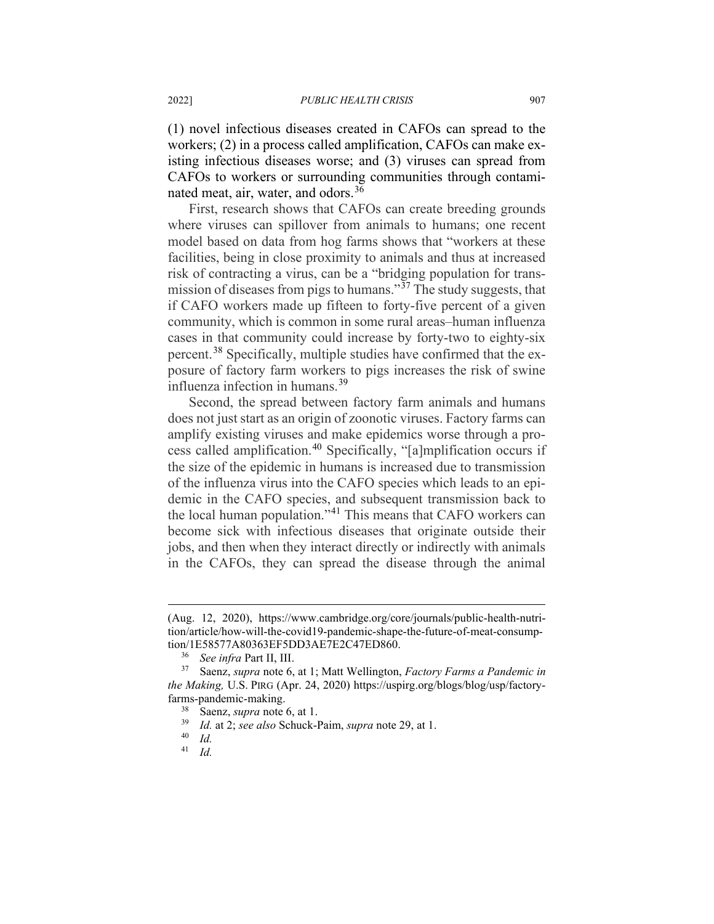(1) novel infectious diseases created in CAFOs can spread to the workers; (2) in a process called amplification, CAFOs can make existing infectious diseases worse; and (3) viruses can spread from CAFOs to workers or surrounding communities through contaminated meat, air, water, and odors. [36](#page-8-0)

First, research shows that CAFOs can create breeding grounds where viruses can spillover from animals to humans; one recent model based on data from hog farms shows that "workers at these facilities, being in close proximity to animals and thus at increased risk of contracting a virus, can be a "bridging population for transmission of diseases from pigs to humans." $\frac{37}{27}$  $\frac{37}{27}$  $\frac{37}{27}$  The study suggests, that if CAFO workers made up fifteen to forty-five percent of a given community, which is common in some rural areas–human influenza cases in that community could increase by forty-two to eighty-six percent.<sup>[38](#page-8-2)</sup> Specifically, multiple studies have confirmed that the exposure of factory farm workers to pigs increases the risk of swine influenza infection in humans.<sup>[39](#page-8-3)</sup>

Second, the spread between factory farm animals and humans does not just start as an origin of zoonotic viruses. Factory farms can amplify existing viruses and make epidemics worse through a process called amplification. [40](#page-8-4) Specifically, "[a]mplification occurs if the size of the epidemic in humans is increased due to transmission of the influenza virus into the CAFO species which leads to an epidemic in the CAFO species, and subsequent transmission back to the local human population."[41](#page-8-5) This means that CAFO workers can become sick with infectious diseases that originate outside their jobs, and then when they interact directly or indirectly with animals in the CAFOs, they can spread the disease through the animal

<sup>(</sup>Aug. 12, 2020), https://www.cambridge.org/core/journals/public-health-nutrition/article/how-will-the-covid19-pandemic-shape-the-future-of-meat-consumption/1E58577A80363EF5DD3AE7E2C47ED860.

<span id="page-8-3"></span><span id="page-8-2"></span><span id="page-8-1"></span><span id="page-8-0"></span><sup>&</sup>lt;sup>36</sup> *See infra* Part II, III.<br><sup>37</sup> Saenz, *supra* note 6, at 1; Matt Wellington, *Factory Farms a Pandemic in the Making,* U.S. PIRG (Apr. 24, 2020) https://uspirg.org/blogs/blog/usp/factoryfarms-pandemic-making.

Saenz, *supra* note 6, at 1.

<sup>39</sup> *Id.* at 2; *see also* Schuck-Paim, *supra* note 29, at 1.

<span id="page-8-5"></span><span id="page-8-4"></span> $\frac{40}{41}$  *Id.* 

<sup>41</sup> *Id.*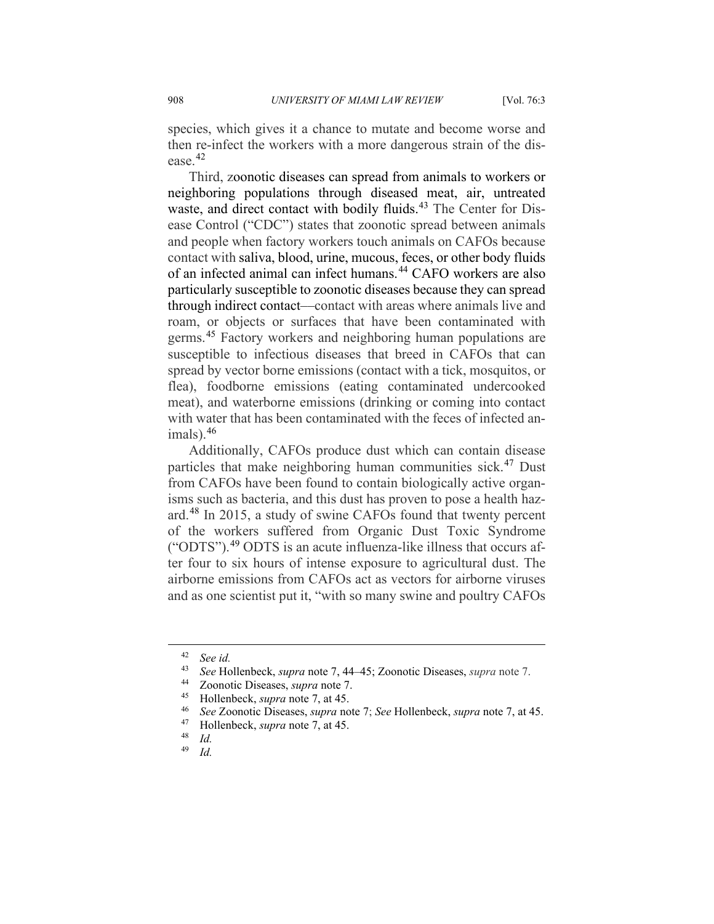species, which gives it a chance to mutate and become worse and then re-infect the workers with a more dangerous strain of the disease.[42](#page-9-0)

Third, zoonotic diseases can spread from animals to workers or neighboring populations through diseased meat, air, untreated waste, and direct contact with bodily fluids.<sup>[43](#page-9-1)</sup> The Center for Disease Control ("CDC") states that zoonotic spread between animals and people when factory workers touch animals on CAFOs because contact with saliva, blood, urine, mucous, feces, or other body fluids of an infected animal can infect humans.<sup>[44](#page-9-2)</sup> CAFO workers are also particularly susceptible to zoonotic diseases because they can spread through indirect contact––contact with areas where animals live and roam, or objects or surfaces that have been contaminated with germs.<sup>[45](#page-9-3)</sup> Factory workers and neighboring human populations are susceptible to infectious diseases that breed in CAFOs that can spread by vector borne emissions (contact with a tick, mosquitos, or flea), foodborne emissions (eating contaminated undercooked meat), and waterborne emissions (drinking or coming into contact with water that has been contaminated with the feces of infected animals). [46](#page-9-4)

Additionally, CAFOs produce dust which can contain disease particles that make neighboring human communities sick.<sup>[47](#page-9-5)</sup> Dust from CAFOs have been found to contain biologically active organisms such as bacteria, and this dust has proven to pose a health hazard.[48](#page-9-6) In 2015, a study of swine CAFOs found that twenty percent of the workers suffered from Organic Dust Toxic Syndrome ("ODTS").[49](#page-9-7) ODTS is an acute influenza-like illness that occurs after four to six hours of intense exposure to agricultural dust. The airborne emissions from CAFOs act as vectors for airborne viruses and as one scientist put it, "with so many swine and poultry CAFOs

<span id="page-9-0"></span> $\frac{42}{43}$  *See id.*<br> $\frac{43}{566}$  H<sub>c</sub>

<span id="page-9-1"></span><sup>43</sup> *See* Hollenbeck, *supra* note [7,](#page-3-7) 44–45; Zoonotic Diseases, *supra* note 7.

<span id="page-9-3"></span><span id="page-9-2"></span><sup>&</sup>lt;sup>44</sup> Zoonotic Diseases, *supra* note 7.<br><sup>45</sup> Hollenbeck, *supra* note 7, at 45

<sup>45</sup> Hollenbeck, *supra* note 7, at 45.

<span id="page-9-4"></span><sup>46</sup> *See* Zoonotic Diseases, *supra* note 7; *See* Hollenbeck, *supra* note [7,](#page-3-7) at 45.

<sup>&</sup>lt;sup>47</sup> Hollenbeck, *supra* not[e 7,](#page-3-7) at 45.

<span id="page-9-7"></span><span id="page-9-6"></span><span id="page-9-5"></span> $\frac{48}{49}$  *Id.* 

*Id.*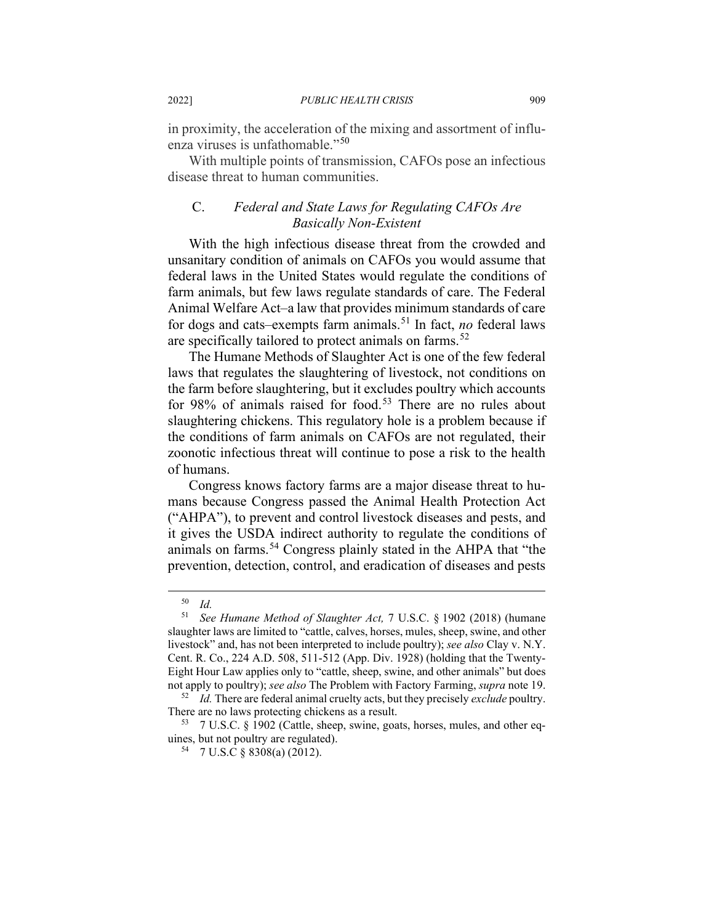in proximity, the acceleration of the mixing and assortment of influ-enza viruses is unfathomable."<sup>[50](#page-10-0)</sup>

With multiple points of transmission, CAFOs pose an infectious disease threat to human communities.

## C. *Federal and State Laws for Regulating CAFOs Are Basically Non-Existent*

With the high infectious disease threat from the crowded and unsanitary condition of animals on CAFOs you would assume that federal laws in the United States would regulate the conditions of farm animals, but few laws regulate standards of care. The Federal Animal Welfare Act–a law that provides minimum standards of care for dogs and cats–exempts farm animals.[51](#page-10-1) In fact, *no* federal laws are specifically tailored to protect animals on farms.<sup>[52](#page-10-2)</sup>

The Humane Methods of Slaughter Act is one of the few federal laws that regulates the slaughtering of livestock, not conditions on the farm before slaughtering, but it excludes poultry which accounts for 98% of animals raised for food.<sup>[53](#page-10-3)</sup> There are no rules about slaughtering chickens. This regulatory hole is a problem because if the conditions of farm animals on CAFOs are not regulated, their zoonotic infectious threat will continue to pose a risk to the health of humans.

Congress knows factory farms are a major disease threat to humans because Congress passed the Animal Health Protection Act ("AHPA"), to prevent and control livestock diseases and pests, and it gives the USDA indirect authority to regulate the conditions of animals on farms.<sup>[54](#page-10-4)</sup> Congress plainly stated in the AHPA that "the prevention, detection, control, and eradication of diseases and pests

<sup>50</sup> *Id.*

<span id="page-10-1"></span><span id="page-10-0"></span><sup>51</sup> *See Humane Method of Slaughter Act,* 7 U.S.C. § 1902 (2018) (humane slaughter laws are limited to "cattle, calves, horses, mules, sheep, swine, and other livestock" and, has not been interpreted to include poultry); *see also* Clay v. N.Y. Cent. R. Co., 224 A.D. 508, 511-512 (App. Div. 1928) (holding that the Twenty-Eight Hour Law applies only to "cattle, sheep, swine, and other animals" but does not apply to poultry); *see also* The Problem with Factory Farming, *supra* not[e 19.](#page-5-8)

<span id="page-10-2"></span><sup>&</sup>lt;sup>52</sup> *Id.* There are federal animal cruelty acts, but they precisely *exclude* poultry.<br>There are no laws protecting chickens as a result.

<span id="page-10-4"></span><span id="page-10-3"></span> $53$  7 U.S.C. § 1902 (Cattle, sheep, swine, goats, horses, mules, and other equines, but not poultry are regulated).

<sup>54</sup> 7 U.S.C § 8308(a) (2012).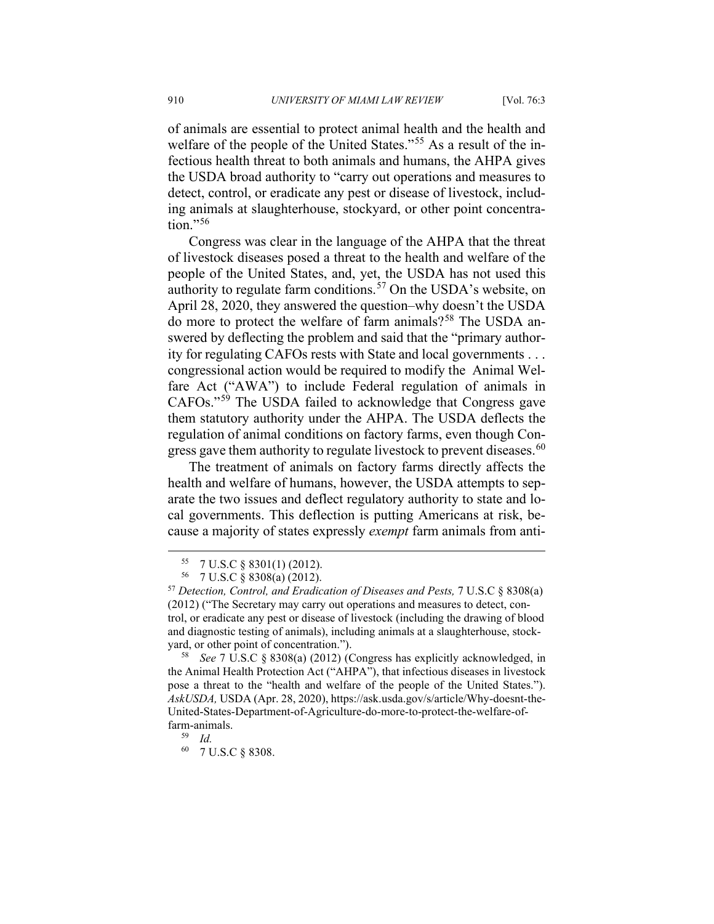of animals are essential to protect animal health and the health and welfare of the people of the United States."<sup>[55](#page-11-0)</sup> As a result of the infectious health threat to both animals and humans, the AHPA gives the USDA broad authority to "carry out operations and measures to detect, control, or eradicate any pest or disease of livestock, including animals at slaughterhouse, stockyard, or other point concentra- $\text{tion}$ ."[56](#page-11-1)

Congress was clear in the language of the AHPA that the threat of livestock diseases posed a threat to the health and welfare of the people of the United States, and, yet, the USDA has not used this authority to regulate farm conditions.<sup>[57](#page-11-2)</sup> On the USDA's website, on April 28, 2020, they answered the question–why doesn't the USDA do more to protect the welfare of farm animals?<sup>[58](#page-11-3)</sup> The USDA answered by deflecting the problem and said that the "primary authority for regulating CAFOs rests with State and local governments . . . congressional action would be required to modify the Animal Welfare Act ("AWA") to include Federal regulation of animals in CAFOs."[59](#page-11-4) The USDA failed to acknowledge that Congress gave them statutory authority under the AHPA. The USDA deflects the regulation of animal conditions on factory farms, even though Con-gress gave them authority to regulate livestock to prevent diseases.<sup>[60](#page-11-5)</sup>

The treatment of animals on factory farms directly affects the health and welfare of humans, however, the USDA attempts to separate the two issues and deflect regulatory authority to state and local governments. This deflection is putting Americans at risk, because a majority of states expressly *exempt* farm animals from anti-

<sup>55</sup> 7 U.S.C § 8301(1) (2012).

<sup>56</sup> 7 U.S.C § 8308(a) (2012).

<span id="page-11-2"></span><span id="page-11-1"></span><span id="page-11-0"></span><sup>57</sup> *Detection, Control, and Eradication of Diseases and Pests,* 7 U.S.C § 8308(a) (2012) ("The Secretary may carry out operations and measures to detect, control, or eradicate any pest or disease of livestock (including the drawing of blood and diagnostic testing of animals), including animals at a slaughterhouse, stockyard, or other point of concentration.").

<span id="page-11-3"></span><sup>58</sup> *See* 7 U.S.C § 8308(a) (2012) (Congress has explicitly acknowledged, in the Animal Health Protection Act ("AHPA"), that infectious diseases in livestock pose a threat to the "health and welfare of the people of the United States."). *AskUSDA,* USDA (Apr. 28, 2020), https://ask.usda.gov/s/article/Why-doesnt-the-United-States-Department-of-Agriculture-do-more-to-protect-the-welfare-offarm-animals.

<sup>59</sup> *Id.*

<span id="page-11-5"></span><span id="page-11-4"></span><sup>60</sup> 7 U.S.C § 8308.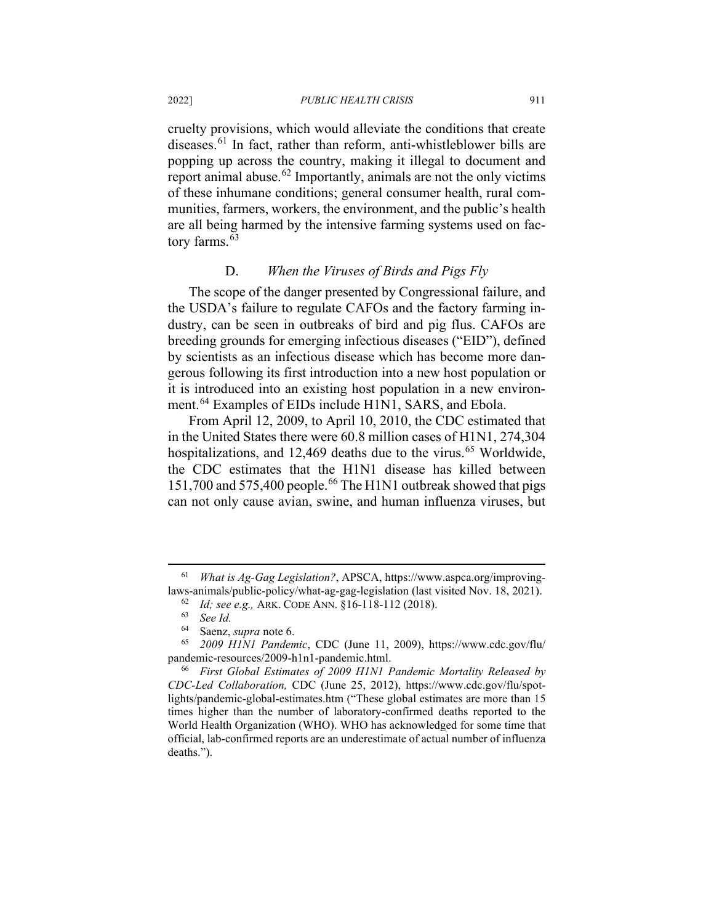cruelty provisions, which would alleviate the conditions that create diseases.<sup>[61](#page-12-0)</sup> In fact, rather than reform, anti-whistleblower bills are popping up across the country, making it illegal to document and report animal abuse.<sup> $62$ </sup> Importantly, animals are not the only victims of these inhumane conditions; general consumer health, rural communities, farmers, workers, the environment, and the public's health are all being harmed by the intensive farming systems used on fac-tory farms.<sup>[63](#page-12-2)</sup>

## D. *When the Viruses of Birds and Pigs Fly*

The scope of the danger presented by Congressional failure, and the USDA's failure to regulate CAFOs and the factory farming industry, can be seen in outbreaks of bird and pig flus. CAFOs are breeding grounds for emerging infectious diseases ("EID"), defined by scientists as an infectious disease which has become more dangerous following its first introduction into a new host population or it is introduced into an existing host population in a new environ-ment.<sup>[64](#page-12-3)</sup> Examples of EIDs include H1N1, SARS, and Ebola.

From April 12, 2009, to April 10, 2010, the CDC estimated that in the United States there were 60.8 million cases of H1N1, 274,304 hospitalizations, and 12,469 deaths due to the virus.<sup>[65](#page-12-4)</sup> Worldwide, the CDC estimates that the H1N1 disease has killed between 151,700 and 575,400 people. [66](#page-12-5) The H1N1 outbreak showed that pigs can not only cause avian, swine, and human influenza viruses, but

<span id="page-12-1"></span><span id="page-12-0"></span><sup>61</sup> *What is Ag-Gag Legislation?*, APSCA, https://www.aspca.org/improvinglaws-animals/public-policy/what-ag-gag-legislation (last visited Nov. 18, 2021).

<sup>62</sup> *Id; see e.g.,* ARK. CODE ANN. §16-118-112 (2018). 63 *See Id.*

<sup>&</sup>lt;sup>64</sup> Saenz, *supra* note 6.<br><sup>65</sup> 2009 HINI Pandem

<span id="page-12-4"></span><span id="page-12-3"></span><span id="page-12-2"></span><sup>65</sup> *2009 H1N1 Pandemic*, CDC (June 11, 2009), https://www.cdc.gov/flu/ pandemic-resources/2009-h1n1-pandemic.html.

<span id="page-12-5"></span><sup>66</sup> *First Global Estimates of 2009 H1N1 Pandemic Mortality Released by CDC-Led Collaboration,* CDC (June 25, 2012), https://www.cdc.gov/flu/spotlights/pandemic-global-estimates.htm ("These global estimates are more than 15 times higher than the number of laboratory-confirmed deaths reported to the World Health Organization (WHO). WHO has acknowledged for some time that official, lab-confirmed reports are an underestimate of actual number of influenza deaths.").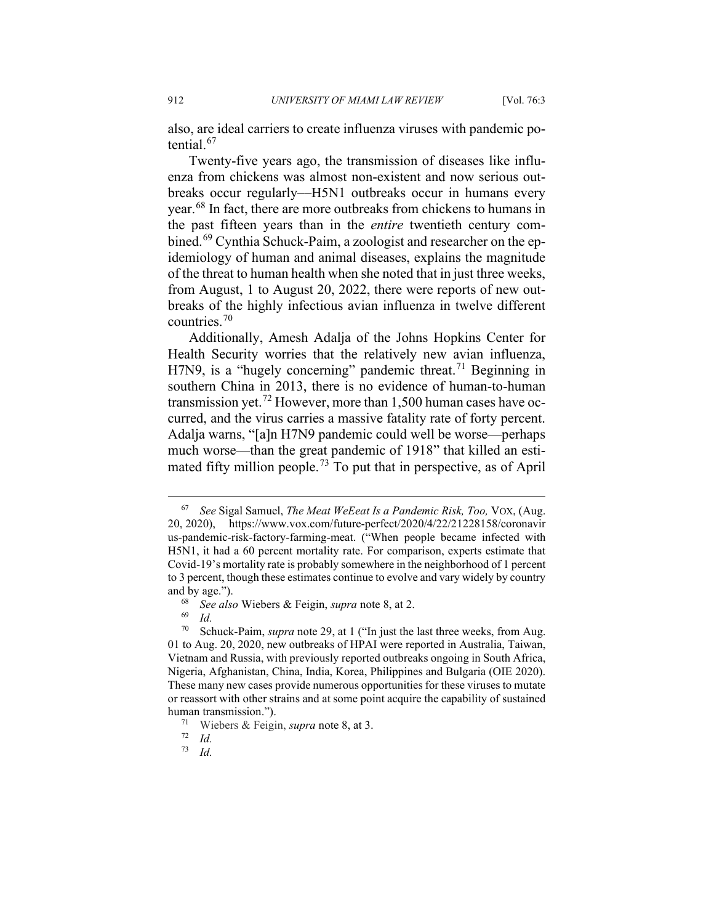also, are ideal carriers to create influenza viruses with pandemic potential.[67](#page-13-0)

Twenty-five years ago, the transmission of diseases like influenza from chickens was almost non-existent and now serious outbreaks occur regularly––H5N1 outbreaks occur in humans every year.[68](#page-13-1) In fact, there are more outbreaks from chickens to humans in the past fifteen years than in the *entire* twentieth century com-bined.<sup>[69](#page-13-2)</sup> Cynthia Schuck-Paim, a zoologist and researcher on the epidemiology of human and animal diseases, explains the magnitude of the threat to human health when she noted that in just three weeks, from August, 1 to August 20, 2022, there were reports of new outbreaks of the highly infectious avian influenza in twelve different countries. $70$ 

Additionally, Amesh Adalja of the Johns Hopkins Center for Health Security worries that the relatively new avian influenza, H7N9, is a "hugely concerning" pandemic threat.<sup>[71](#page-13-4)</sup> Beginning in southern China in 2013, there is no evidence of human-to-human transmission yet.<sup>[72](#page-13-5)</sup> However, more than 1,500 human cases have occurred, and the virus carries a massive fatality rate of forty percent. Adalja warns, "[a]n H7N9 pandemic could well be worse—perhaps much worse—than the great pandemic of 1918" that killed an esti-mated fifty million people.<sup>[73](#page-13-6)</sup> To put that in perspective, as of April

<span id="page-13-0"></span><sup>67</sup> *See* Sigal Samuel, *The Meat WeEeat Is a Pandemic Risk, Too,* VOX, (Aug. 20, 2020), https://www.vox.com/future-perfect/2020/4/22/21228158/coronavir us-pandemic-risk-factory-farming-meat. ("When people became infected with H5N1, it had a 60 percent mortality rate. For comparison, experts estimate that Covid-19's mortality rate is probably somewhere in the neighborhood of 1 percent to 3 percent, though these estimates continue to evolve and vary widely by country and by age.").

<sup>68</sup> *See also* Wiebers & Feigin, *supra* not[e 8,](#page-3-8) at 2.

 $\frac{69}{70}$  *Id.* 

<span id="page-13-3"></span><span id="page-13-2"></span><span id="page-13-1"></span>Schuck-Paim, *supra* note 29, at 1 ("In just the last three weeks, from Aug. 01 to Aug. 20, 2020, new outbreaks of HPAI were reported in Australia, Taiwan, Vietnam and Russia, with previously reported outbreaks ongoing in South Africa, Nigeria, Afghanistan, China, India, Korea, Philippines and Bulgaria (OIE 2020). These many new cases provide numerous opportunities for these viruses to mutate or reassort with other strains and at some point acquire the capability of sustained human transmission.").

<span id="page-13-4"></span><sup>71</sup> Wiebers & Feigin, *supra* note [8,](#page-3-8) at 3.

<span id="page-13-6"></span><span id="page-13-5"></span> $\frac{72}{73}$  *Id.* 

<sup>73</sup> *Id.*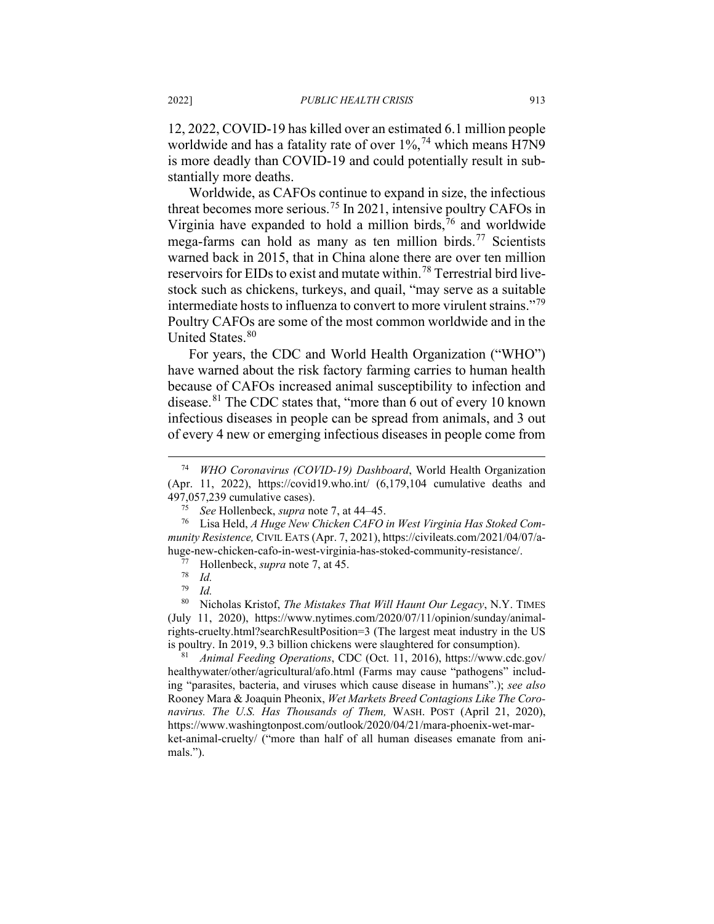12, 2022, COVID-19 has killed over an estimated 6.1 million people worldwide and has a fatality rate of over 1%,<sup>[74](#page-14-0)</sup> which means H7N9 is more deadly than COVID-19 and could potentially result in substantially more deaths.

Worldwide, as CAFOs continue to expand in size, the infectious threat becomes more serious.[75](#page-14-1) In 2021, intensive poultry CAFOs in Virginia have expanded to hold a million birds, $\frac{7}{6}$  and worldwide mega-farms can hold as many as ten million birds.<sup>[77](#page-14-3)</sup> Scientists warned back in 2015, that in China alone there are over ten million reservoirs for EIDs to exist and mutate within.<sup>[78](#page-14-4)</sup> Terrestrial bird livestock such as chickens, turkeys, and quail, "may serve as a suitable intermediate hosts to influenza to convert to more virulent strains."[79](#page-14-5) Poultry CAFOs are some of the most common worldwide and in the United States.<sup>[80](#page-14-6)</sup>

For years, the CDC and World Health Organization ("WHO") have warned about the risk factory farming carries to human health because of CAFOs increased animal susceptibility to infection and disease.<sup>[81](#page-14-7)</sup> The CDC states that, "more than 6 out of every 10 known" infectious diseases in people can be spread from animals, and 3 out of every 4 new or emerging infectious diseases in people come from

<span id="page-14-7"></span>healthywater/other/agricultural/afo.html (Farms may cause "pathogens" including "parasites, bacteria, and viruses which cause disease in humans".); *see also*  Rooney Mara & Joaquin Pheonix, *Wet Markets Breed Contagions Like The Coronavirus. The U.S. Has Thousands of Them,* WASH. POST (April 21, 2020), https://www.washingtonpost.com/outlook/2020/04/21/mara-phoenix-wet-market-animal-cruelty/ ("more than half of all human diseases emanate from animals.").

<span id="page-14-0"></span><sup>74</sup> *WHO Coronavirus (COVID-19) Dashboard*, World Health Organization (Apr. 11, 2022), https://covid19.who.int/ (6,179,104 cumulative deaths and 497,057,239 cumulative cases).

<sup>75</sup> *See* Hollenbeck, *supra* note 7, at 44–45.

<span id="page-14-3"></span><span id="page-14-2"></span><span id="page-14-1"></span><sup>76</sup> Lisa Held, *A Huge New Chicken CAFO in West Virginia Has Stoked Community Resistence,* CIVIL EATS (Apr. 7, 2021), https://civileats.com/2021/04/07/ahuge-new-chicken-cafo-in-west-virginia-has-stoked-community-resistance/.

<sup>77</sup> Hollenbeck, *supra* note 7, at 45.

 $\frac{78}{79}$  *Id.* 

<sup>79</sup> *Id.*

<span id="page-14-6"></span><span id="page-14-5"></span><span id="page-14-4"></span><sup>80</sup> Nicholas Kristof, *The Mistakes That Will Haunt Our Legacy*, N.Y. TIMES (July 11, 2020), https://www.nytimes.com/2020/07/11/opinion/sunday/animalrights-cruelty.html?searchResultPosition=3 (The largest meat industry in the US is poultry. In 2019, 9.3 billion chickens were slaughtered for consumption). 81 *Animal Feeding Operations*, CDC (Oct. 11, 2016), https://www.cdc.gov/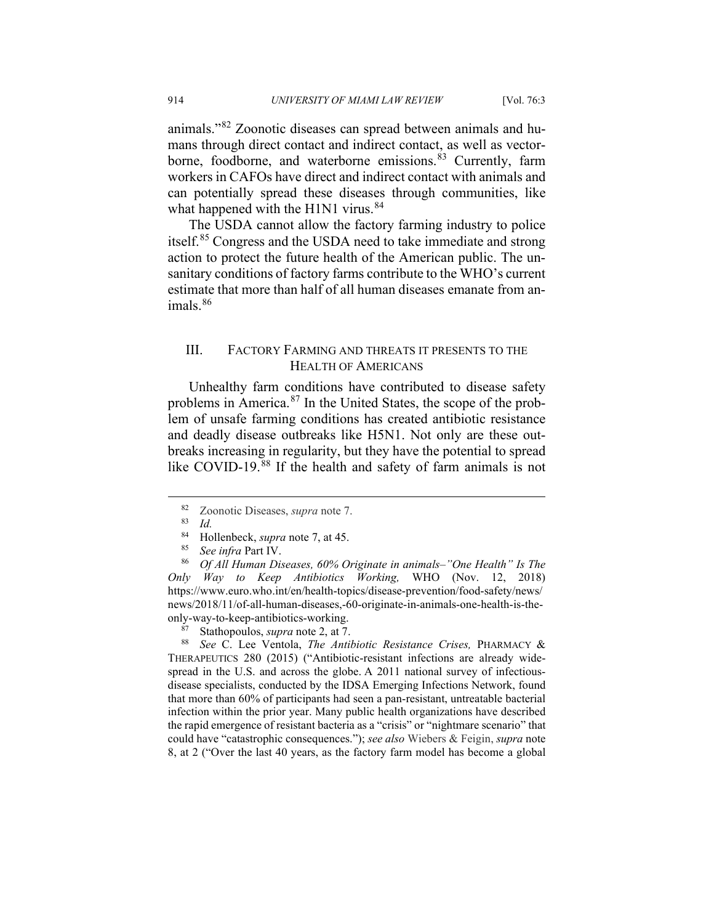animals."[82](#page-15-0) Zoonotic diseases can spread between animals and humans through direct contact and indirect contact, as well as vectorborne, foodborne, and waterborne emissions. [83](#page-15-1) Currently, farm workers in CAFOs have direct and indirect contact with animals and can potentially spread these diseases through communities, like what happened with the H1N1 virus.<sup>[84](#page-15-2)</sup>

The USDA cannot allow the factory farming industry to police itself.<sup>[85](#page-15-3)</sup> Congress and the USDA need to take immediate and strong action to protect the future health of the American public. The unsanitary conditions of factory farms contribute to the WHO's current estimate that more than half of all human diseases emanate from an $imals.$ <sup>[86](#page-15-4)</sup>

## III. FACTORY FARMING AND THREATS IT PRESENTS TO THE HEALTH OF AMERICANS

Unhealthy farm conditions have contributed to disease safety problems in America.<sup>[87](#page-15-5)</sup> In the United States, the scope of the problem of unsafe farming conditions has created antibiotic resistance and deadly disease outbreaks like H5N1. Not only are these outbreaks increasing in regularity, but they have the potential to spread like COVID-19.<sup>[88](#page-15-6)</sup> If the health and safety of farm animals is not

<span id="page-15-4"></span><span id="page-15-3"></span><span id="page-15-2"></span><span id="page-15-1"></span><span id="page-15-0"></span><sup>86</sup> *Of All Human Diseases, 60% Originate in animals–"One Health" Is The Only Way to Keep Antibiotics Working,* WHO (Nov. 12, 2018) https://www.euro.who.int/en/health-topics/disease-prevention/food-safety/news/ news/2018/11/of-all-human-diseases,-60-originate-in-animals-one-health-is-theonly-way-to-keep-antibiotics-working.

<sup>87</sup> Stathopoulos, *supra* not[e 2,](#page-2-2) at 7.<br><sup>88</sup> *See* C. Lee Ventola. *The Antii* 

<span id="page-15-6"></span><span id="page-15-5"></span><sup>88</sup> *See* C. Lee Ventola, *The Antibiotic Resistance Crises,* PHARMACY & THERAPEUTICS 280 (2015) ("Antibiotic-resistant infections are already widespread in the U.S. and across the globe. A 2011 national survey of infectiousdisease specialists, conducted by the IDSA Emerging Infections Network, found that more than 60% of participants had seen a pan-resistant, untreatable bacterial infection within the prior year. Many public health organizations have described the rapid emergence of resistant bacteria as a "crisis" or "nightmare scenario" that could have "catastrophic consequences."); *see also* Wiebers & Feigin, *supra* note [8,](#page-3-8) at 2 ("Over the last 40 years, as the factory farm model has become a global

<sup>82</sup> Zoonotic Diseases, *supra* note 7.

 $rac{83}{84}$  *Id.* 

<sup>&</sup>lt;sup>84</sup> Hollenbeck, *supra* note 7, at 45.

See infra Part IV.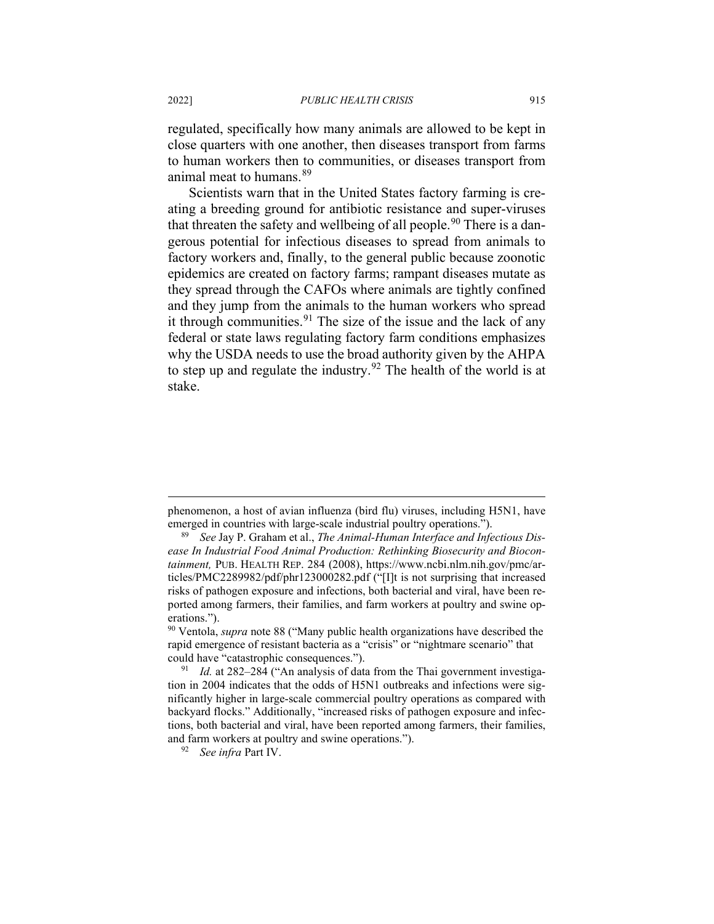regulated, specifically how many animals are allowed to be kept in close quarters with one another, then diseases transport from farms to human workers then to communities, or diseases transport from animal meat to humans.<sup>[89](#page-16-0)</sup>

Scientists warn that in the United States factory farming is creating a breeding ground for antibiotic resistance and super-viruses that threaten the safety and wellbeing of all people.<sup>[90](#page-16-1)</sup> There is a dangerous potential for infectious diseases to spread from animals to factory workers and, finally, to the general public because zoonotic epidemics are created on factory farms; rampant diseases mutate as they spread through the CAFOs where animals are tightly confined and they jump from the animals to the human workers who spread it through communities. <sup>[91](#page-16-2)</sup> The size of the issue and the lack of any federal or state laws regulating factory farm conditions emphasizes why the USDA needs to use the broad authority given by the AHPA to step up and regulate the industry.<sup>[92](#page-16-3)</sup> The health of the world is at stake.

phenomenon, a host of avian influenza (bird flu) viruses, including H5N1, have emerged in countries with large-scale industrial poultry operations.").

<span id="page-16-0"></span>See Jay P. Graham et al., *The Animal-Human Interface and Infectious Disease In Industrial Food Animal Production: Rethinking Biosecurity and Biocontainment,* PUB. HEALTH REP. 284 (2008), https://www.ncbi.nlm.nih.gov/pmc/articles/PMC2289982/pdf/phr123000282.pdf ("[I]t is not surprising that increased risks of pathogen exposure and infections, both bacterial and viral, have been reported among farmers, their families, and farm workers at poultry and swine operations.").

<span id="page-16-1"></span><sup>90</sup> Ventola, *supra* note 88 ("Many public health organizations have described the rapid emergence of resistant bacteria as a "crisis" or "nightmare scenario" that could have "catastrophic consequences.").

<span id="page-16-2"></span><sup>&</sup>lt;sup>91</sup> *Id.* at 282–284 ("An analysis of data from the Thai government investigation in 2004 indicates that the odds of H5N1 outbreaks and infections were significantly higher in large-scale commercial poultry operations as compared with backyard flocks." Additionally, "increased risks of pathogen exposure and infections, both bacterial and viral, have been reported among farmers, their families, and farm workers at poultry and swine operations.").

<span id="page-16-3"></span><sup>92</sup> *See infra* Part IV.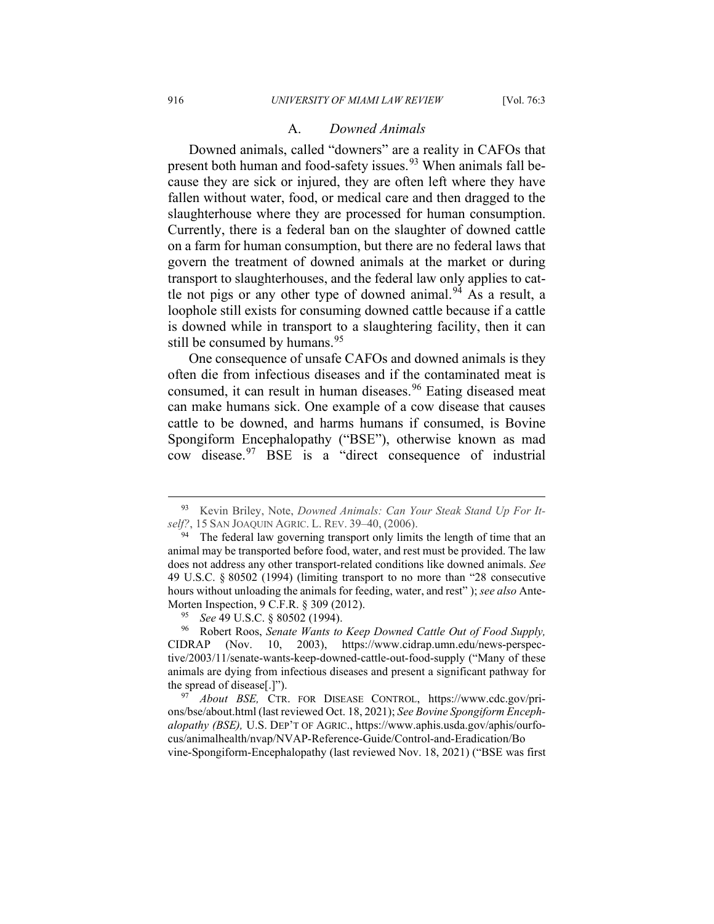#### A. *Downed Animals*

Downed animals, called "downers" are a reality in CAFOs that present both human and food-safety issues.<sup>[93](#page-17-0)</sup> When animals fall because they are sick or injured, they are often left where they have fallen without water, food, or medical care and then dragged to the slaughterhouse where they are processed for human consumption. Currently, there is a federal ban on the slaughter of downed cattle on a farm for human consumption, but there are no federal laws that govern the treatment of downed animals at the market or during transport to slaughterhouses, and the federal law only applies to cat-tle not pigs or any other type of downed animal.<sup>[94](#page-17-1)</sup> As a result, a loophole still exists for consuming downed cattle because if a cattle is downed while in transport to a slaughtering facility, then it can still be consumed by humans.  $95$ 

One consequence of unsafe CAFOs and downed animals is they often die from infectious diseases and if the contaminated meat is consumed, it can result in human diseases.<sup>[96](#page-17-3)</sup> Eating diseased meat can make humans sick. One example of a cow disease that causes cattle to be downed, and harms humans if consumed, is Bovine Spongiform Encephalopathy ("BSE"), otherwise known as mad cow disease.[97](#page-17-4) BSE is a "direct consequence of industrial

vine-Spongiform-Encephalopathy (last reviewed Nov. 18, 2021) ("BSE was first

<span id="page-17-0"></span><sup>93</sup> Kevin Briley, Note, *Downed Animals: Can Your Steak Stand Up For Itself?*, 15 SAN JOAQUIN AGRIC. L. REV. 39–40, (2006).

<span id="page-17-1"></span><sup>&</sup>lt;sup>94</sup> The federal law governing transport only limits the length of time that an animal may be transported before food, water, and rest must be provided. The law does not address any other transport-related conditions like downed animals. *See*  49 U.S.C. § 80502 (1994) (limiting transport to no more than "28 consecutive hours without unloading the animals for feeding, water, and rest" ); *see also* Ante-Morten Inspection, 9 C.F.R. § 309 (2012).

*See* 49 U.S.C. § 80502 (1994).

<span id="page-17-3"></span><span id="page-17-2"></span><sup>96</sup> Robert Roos, *Senate Wants to Keep Downed Cattle Out of Food Supply,*  CIDRAP (Nov. 10, 2003), https://www.cidrap.umn.edu/news-perspective/2003/11/senate-wants-keep-downed-cattle-out-food-supply ("Many of these animals are dying from infectious diseases and present a significant pathway for the spread of disease[.]").

<span id="page-17-4"></span><sup>97</sup> *About BSE,* CTR. FOR DISEASE CONTROL, https://www.cdc.gov/prions/bse/about.html (last reviewed Oct. 18, 2021); *See Bovine Spongiform Encephalopathy (BSE),* U.S. DEP'T OF AGRIC., https://www.aphis.usda.gov/aphis/ourfocus/animalhealth/nvap/NVAP-Reference-Guide/Control-and-Eradication/Bo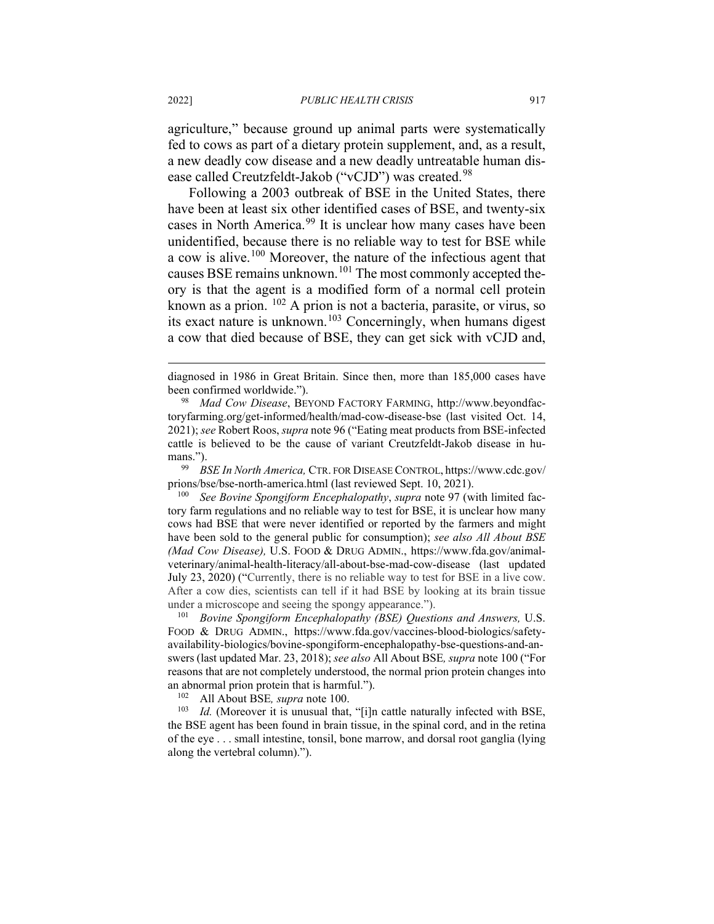agriculture," because ground up animal parts were systematically fed to cows as part of a dietary protein supplement, and, as a result, a new deadly cow disease and a new deadly untreatable human dis-ease called Creutzfeldt-Jakob ("vCJD") was created.<sup>[98](#page-18-0)</sup>

Following a 2003 outbreak of BSE in the United States, there have been at least six other identified cases of BSE, and twenty-six cases in North America.<sup>[99](#page-18-1)</sup> It is unclear how many cases have been unidentified, because there is no reliable way to test for BSE while a cow is alive.[100](#page-18-2) Moreover, the nature of the infectious agent that causes BSE remains unknown.<sup>[101](#page-18-3)</sup> The most commonly accepted theory is that the agent is a modified form of a normal cell protein known as a prion. [102](#page-18-4) A prion is not a bacteria, parasite, or virus, so its exact nature is unknown.[103](#page-18-5) Concerningly, when humans digest a cow that died because of BSE, they can get sick with vCJD and,

<span id="page-18-1"></span><sup>99</sup> *BSE In North America,* CTR. FOR DISEASE CONTROL, https://www.cdc.gov/ prions/bse/bse-north-america.html (last reviewed Sept. 10, 2021).

<span id="page-18-2"></span><sup>100</sup> *See Bovine Spongiform Encephalopathy*, *supra* note 97 (with limited factory farm regulations and no reliable way to test for BSE, it is unclear how many cows had BSE that were never identified or reported by the farmers and might have been sold to the general public for consumption); *see also All About BSE (Mad Cow Disease),* U.S. FOOD & DRUG ADMIN., https://www.fda.gov/animalveterinary/animal-health-literacy/all-about-bse-mad-cow-disease (last updated July 23, 2020) ("Currently, there is no reliable way to test for BSE in a live cow. After a cow dies, scientists can tell if it had BSE by looking at its brain tissue under a microscope and seeing the spongy appearance.").

<span id="page-18-3"></span><sup>101</sup> *Bovine Spongiform Encephalopathy (BSE) Questions and Answers,* U.S. FOOD & DRUG ADMIN., https://www.fda.gov/vaccines-blood-biologics/safetyavailability-biologics/bovine-spongiform-encephalopathy-bse-questions-and-answers (last updated Mar. 23, 2018); *see also* All About BSE*, supra* note 100 ("For reasons that are not completely understood, the normal prion protein changes into an abnormal prion protein that is harmful.").<br> $^{102}$  All About BSE supra pote 100

<sup>102</sup> All About BSE, *supra* note 100.<br><sup>103</sup> Id (Moreover it is unusual that

<span id="page-18-5"></span><span id="page-18-4"></span>*Id.* (Moreover it is unusual that, "[i]n cattle naturally infected with BSE, the BSE agent has been found in brain tissue, in the spinal cord, and in the retina of the eye . . . small intestine, tonsil, bone marrow, and dorsal root ganglia (lying along the vertebral column).").

diagnosed in 1986 in Great Britain. Since then, more than 185,000 cases have been confirmed worldwide.").

<span id="page-18-0"></span><sup>98</sup> *Mad Cow Disease*, BEYOND FACTORY FARMING, http://www.beyondfactoryfarming.org/get-informed/health/mad-cow-disease-bse (last visited Oct. 14, 2021); *see* Robert Roos, *supra* note 96 ("Eating meat products from BSE-infected cattle is believed to be the cause of variant Creutzfeldt-Jakob disease in humans.").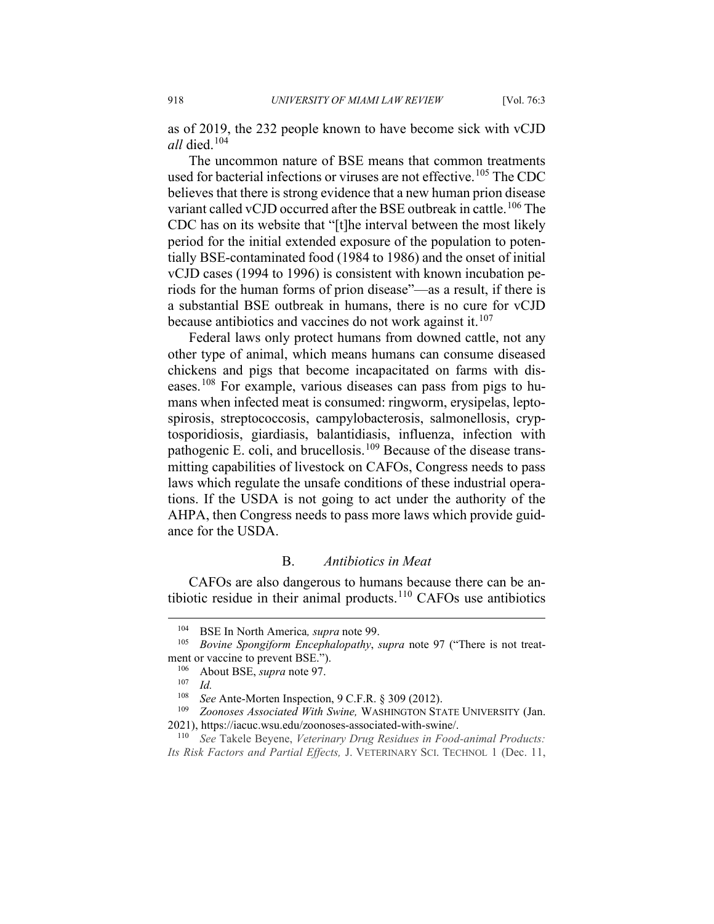as of 2019, the 232 people known to have become sick with vCJD *all* died.[104](#page-19-0)

The uncommon nature of BSE means that common treatments used for bacterial infections or viruses are not effective.<sup>[105](#page-19-1)</sup> The CDC believes that there is strong evidence that a new human prion disease variant called vCJD occurred after the BSE outbreak in cattle.<sup>[106](#page-19-2)</sup> The CDC has on its website that "[t]he interval between the most likely period for the initial extended exposure of the population to potentially BSE-contaminated food (1984 to 1986) and the onset of initial vCJD cases (1994 to 1996) is consistent with known incubation periods for the human forms of prion disease"—as a result, if there is a substantial BSE outbreak in humans, there is no cure for vCJD because antibiotics and vaccines do not work against it.<sup>[107](#page-19-3)</sup>

Federal laws only protect humans from downed cattle, not any other type of animal, which means humans can consume diseased chickens and pigs that become incapacitated on farms with diseases.[108](#page-19-4) For example, various diseases can pass from pigs to humans when infected meat is consumed: ringworm, erysipelas, leptospirosis, streptococcosis, campylobacterosis, salmonellosis, cryptosporidiosis, giardiasis, balantidiasis, influenza, infection with pathogenic E. coli, and brucellosis.<sup>[109](#page-19-5)</sup> Because of the disease transmitting capabilities of livestock on CAFOs, Congress needs to pass laws which regulate the unsafe conditions of these industrial operations. If the USDA is not going to act under the authority of the AHPA, then Congress needs to pass more laws which provide guidance for the USDA.

#### B. *Antibiotics in Meat*

CAFOs are also dangerous to humans because there can be an-tibiotic residue in their animal products.<sup>[110](#page-19-6)</sup> CAFOs use antibiotics

<sup>104</sup> BSE In North America*, supra* note 99.

<span id="page-19-2"></span><span id="page-19-1"></span><span id="page-19-0"></span><sup>105</sup> *Bovine Spongiform Encephalopathy*, *supra* note 97 ("There is not treatment or vaccine to prevent BSE.").<br> $\frac{106}{\text{A bout BSE}}$  sung note 0.7

About BSE, *supra* note 97.

 $\frac{107}{108}$  *Id.* 

<sup>108</sup> *See* Ante-Morten Inspection, 9 C.F.R. § 309 (2012).

<span id="page-19-5"></span><span id="page-19-4"></span><span id="page-19-3"></span><sup>109</sup> *Zoonoses Associated With Swine,* WASHINGTON STATE UNIVERSITY (Jan. 2021), https://iacuc.wsu.edu/zoonoses-associated-with-swine/.

<span id="page-19-6"></span><sup>110</sup> *See* Takele Beyene, *Veterinary Drug Residues in Food-animal Products: Its Risk Factors and Partial Effects,* J. VETERINARY SCI. TECHNOL 1 (Dec. 11,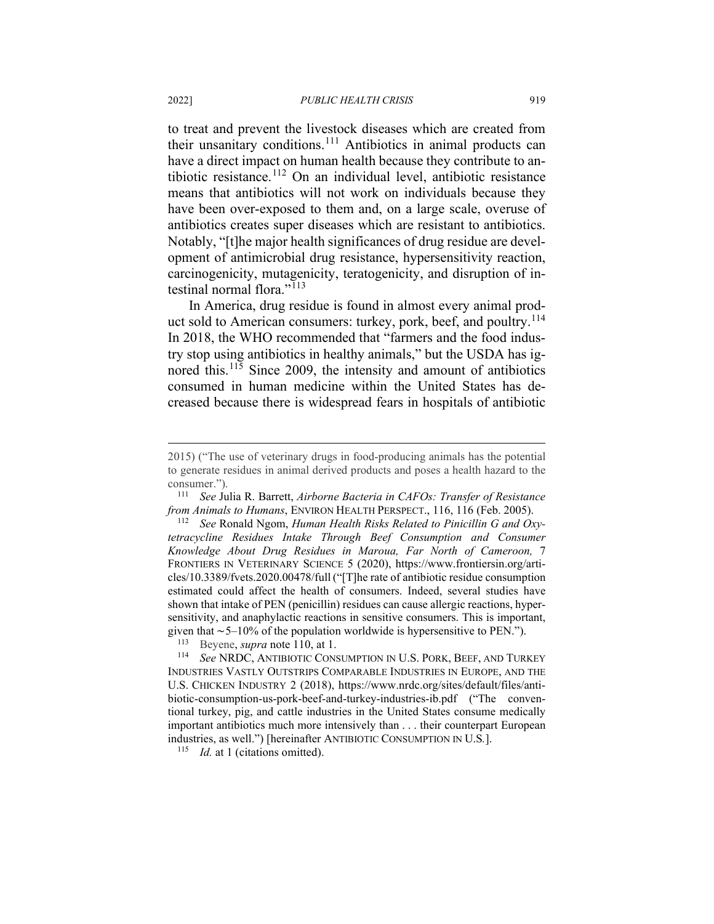to treat and prevent the livestock diseases which are created from their unsanitary conditions.[111](#page-20-0) Antibiotics in animal products can have a direct impact on human health because they contribute to antibiotic resistance.[112](#page-20-1) On an individual level, antibiotic resistance means that antibiotics will not work on individuals because they have been over-exposed to them and, on a large scale, overuse of antibiotics creates super diseases which are resistant to antibiotics. Notably, "[t]he major health significances of drug residue are development of antimicrobial drug resistance, hypersensitivity reaction, carcinogenicity, mutagenicity, teratogenicity, and disruption of in-testinal normal flora."<sup>[113](#page-20-2)</sup>

In America, drug residue is found in almost every animal prod-uct sold to American consumers: turkey, pork, beef, and poultry.<sup>[114](#page-20-3)</sup> In 2018, the WHO recommended that "farmers and the food industry stop using antibiotics in healthy animals," but the USDA has ig-nored this.<sup>[115](#page-20-4)</sup> Since 2009, the intensity and amount of antibiotics consumed in human medicine within the United States has decreased because there is widespread fears in hospitals of antibiotic

<span id="page-20-1"></span><sup>112</sup> *See* Ronald Ngom, *Human Health Risks Related to Pinicillin G and Oxytetracycline Residues Intake Through Beef Consumption and Consumer Knowledge About Drug Residues in Maroua, Far North of Cameroon,* 7 FRONTIERS IN VETERINARY SCIENCE 5 (2020), https://www.frontiersin.org/articles/10.3389/fvets.2020.00478/full ("[T]he rate of antibiotic residue consumption estimated could affect the health of consumers. Indeed, several studies have shown that intake of PEN (penicillin) residues can cause allergic reactions, hypersensitivity, and anaphylactic reactions in sensitive consumers. This is important, given that ∼5–10% of the population worldwide is hypersensitive to PEN."). <sup>113</sup> Beyene, *supra* note 110, at 1.

<span id="page-20-3"></span><span id="page-20-2"></span><sup>114</sup> *See* NRDC, ANTIBIOTIC CONSUMPTION IN U.S. PORK, BEEF, AND TURKEY INDUSTRIES VASTLY OUTSTRIPS COMPARABLE INDUSTRIES IN EUROPE, AND THE U.S. CHICKEN INDUSTRY 2 (2018), https://www.nrdc.org/sites/default/files/antibiotic-consumption-us-pork-beef-and-turkey-industries-ib.pdf ("The conventional turkey, pig, and cattle industries in the United States consume medically important antibiotics much more intensively than . . . their counterpart European industries, as well.") [hereinafter ANTIBIOTIC CONSUMPTION IN U.S*.*].

<span id="page-20-4"></span><sup>115</sup> *Id.* at 1 (citations omitted).

<sup>2015) (&</sup>quot;The use of veterinary drugs in food-producing animals has the potential to generate residues in animal derived products and poses a health hazard to the consumer.").

<span id="page-20-0"></span><sup>111</sup> *See* Julia R. Barrett, *Airborne Bacteria in CAFOs: Transfer of Resistance from Animals to Humans*, ENVIRON HEALTH PERSPECT., 116, 116 (Feb. 2005).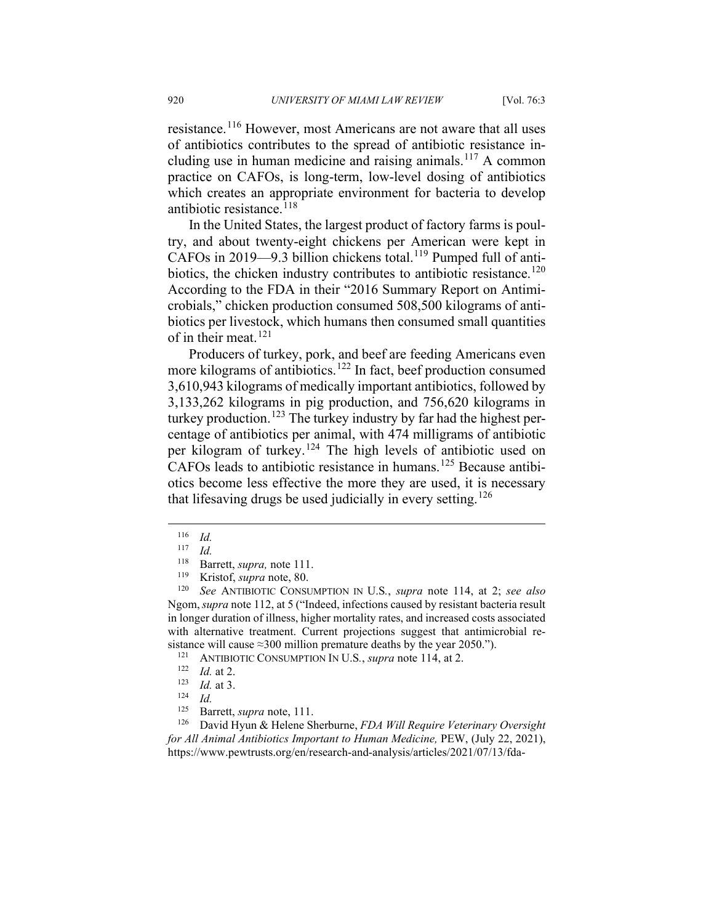resistance.<sup>[116](#page-21-0)</sup> However, most Americans are not aware that all uses of antibiotics contributes to the spread of antibiotic resistance in-cluding use in human medicine and raising animals.<sup>[117](#page-21-1)</sup> A common practice on CAFOs, is long-term, low-level dosing of antibiotics which creates an appropriate environment for bacteria to develop antibiotic resistance. $118$ 

In the United States, the largest product of factory farms is poultry, and about twenty-eight chickens per American were kept in CAFOs in 2019—9.3 billion chickens total.<sup>[119](#page-21-3)</sup> Pumped full of anti-biotics, the chicken industry contributes to antibiotic resistance.<sup>[120](#page-21-4)</sup> According to the FDA in their "2016 Summary Report on Antimicrobials," chicken production consumed 508,500 kilograms of antibiotics per livestock, which humans then consumed small quantities of in their meat.<sup>[121](#page-21-5)</sup>

Producers of turkey, pork, and beef are feeding Americans even more kilograms of antibiotics.<sup>[122](#page-21-6)</sup> In fact, beef production consumed 3,610,943 kilograms of medically important antibiotics, followed by 3,133,262 kilograms in pig production, and 756,620 kilograms in turkey production.<sup>[123](#page-21-7)</sup> The turkey industry by far had the highest percentage of antibiotics per animal, with 474 milligrams of antibiotic per kilogram of turkey.[124](#page-21-8) The high levels of antibiotic used on CAFOs leads to antibiotic resistance in humans.<sup>[125](#page-21-9)</sup> Because antibiotics become less effective the more they are used, it is necessary that lifesaving drugs be used judicially in every setting.<sup>[126](#page-21-10)</sup>

 $\frac{116}{117}$  *Id.* 

*Id.* 

<sup>&</sup>lt;sup>118</sup> Barrett, *supra*, note 111.<br><sup>119</sup> Kristof *supra* note 80

<span id="page-21-4"></span><span id="page-21-3"></span><span id="page-21-2"></span><span id="page-21-1"></span><span id="page-21-0"></span><sup>119</sup> Kristof, *supra* note, 80. 120 *See* ANTIBIOTIC CONSUMPTION IN U.S*.*, *supra* note 114, at 2; *see also*  Ngom,*supra* note 112, at 5 ("Indeed, infections caused by resistant bacteria result in longer duration of illness, higher mortality rates, and increased costs associated with alternative treatment. Current projections suggest that antimicrobial resistance will cause ≈300 million premature deaths by the year 2050.").<br> $^{121}$  ANTIBIOTIC CONSIMPTION IN LLS, surge note 114, at 2

<span id="page-21-5"></span><sup>&</sup>lt;sup>121</sup> ANTIBIOTIC CONSUMPTION IN U.S., *supra* note 114, at 2.

*Id.* at 2.

 $\frac{123}{124}$  *Id.* at 3.

 $\frac{124}{125}$  *Id.* 

<sup>&</sup>lt;sup>125</sup> Barrett, *supra* note, 111.<br><sup>126</sup> David Hyun & Helene SI

<span id="page-21-10"></span><span id="page-21-9"></span><span id="page-21-8"></span><span id="page-21-7"></span><span id="page-21-6"></span><sup>126</sup> David Hyun & Helene Sherburne, *FDA Will Require Veterinary Oversight for All Animal Antibiotics Important to Human Medicine,* PEW, (July 22, 2021), https://www.pewtrusts.org/en/research-and-analysis/articles/2021/07/13/fda-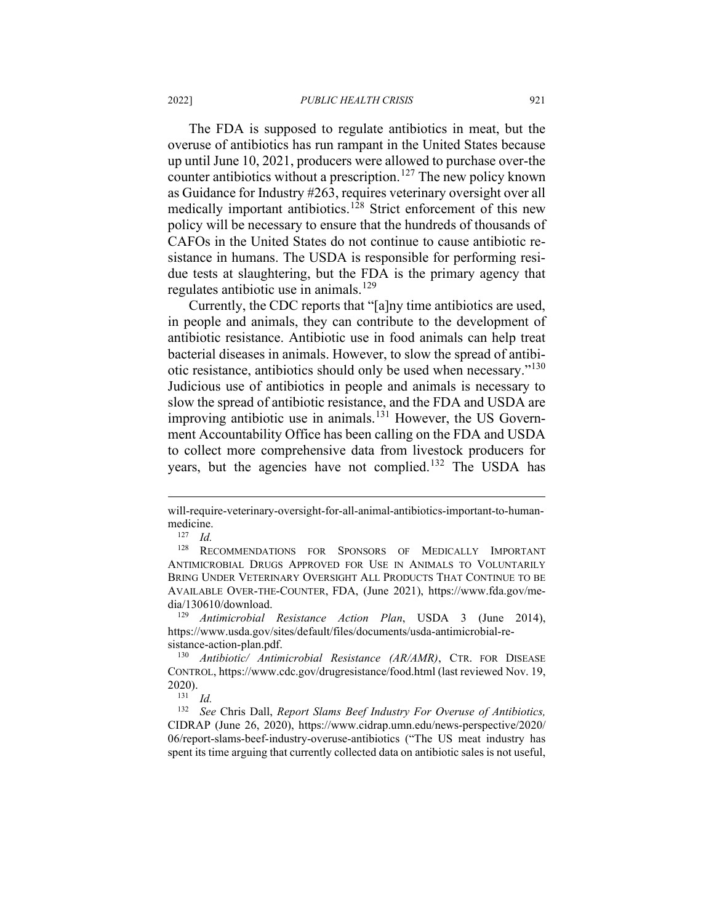The FDA is supposed to regulate antibiotics in meat, but the overuse of antibiotics has run rampant in the United States because up until June 10, 2021, producers were allowed to purchase over-the counter antibiotics without a prescription.<sup>[127](#page-22-0)</sup> The new policy known as Guidance for Industry #263, requires veterinary oversight over all medically important antibiotics.<sup>[128](#page-22-1)</sup> Strict enforcement of this new policy will be necessary to ensure that the hundreds of thousands of CAFOs in the United States do not continue to cause antibiotic resistance in humans. The USDA is responsible for performing residue tests at slaughtering, but the FDA is the primary agency that regulates antibiotic use in animals.[129](#page-22-2)

Currently, the CDC reports that "[a]ny time antibiotics are used, in people and animals, they can contribute to the development of antibiotic resistance. Antibiotic use in food animals can help treat bacterial diseases in animals. However, to slow the spread of antibi-otic resistance, antibiotics should only be used when necessary."<sup>[130](#page-22-3)</sup> Judicious use of antibiotics in people and animals is necessary to slow the spread of antibiotic resistance, and the FDA and USDA are improving antibiotic use in animals.<sup>[131](#page-22-4)</sup> However, the US Government Accountability Office has been calling on the FDA and USDA to collect more comprehensive data from livestock producers for years, but the agencies have not complied.<sup>[132](#page-22-5)</sup> The USDA has

will-require-veterinary-oversight-for-all-animal-antibiotics-important-to-humanmedicine.<br> $^{127}$  *Id* 

 $\frac{127}{128}$  *Id.* 

<span id="page-22-1"></span><span id="page-22-0"></span>RECOMMENDATIONS FOR SPONSORS OF MEDICALLY IMPORTANT ANTIMICROBIAL DRUGS APPROVED FOR USE IN ANIMALS TO VOLUNTARILY BRING UNDER VETERINARY OVERSIGHT ALL PRODUCTS THAT CONTINUE TO BE AVAILABLE OVER-THE-COUNTER, FDA, (June 2021), https://www.fda.gov/media/130610/download.

<span id="page-22-2"></span><sup>129</sup> *Antimicrobial Resistance Action Plan*, USDA 3 (June 2014), https://www.usda.gov/sites/default/files/documents/usda-antimicrobial-resistance-action-plan.pdf.

<span id="page-22-3"></span><sup>130</sup> *Antibiotic/ Antimicrobial Resistance (AR/AMR)*, CTR. FOR DISEASE CONTROL, https://www.cdc.gov/drugresistance/food.html (last reviewed Nov. 19,  $2020$ ).

<sup>131</sup> *Id.*

<span id="page-22-5"></span><span id="page-22-4"></span><sup>132</sup> *See* Chris Dall, *Report Slams Beef Industry For Overuse of Antibiotics,*  CIDRAP (June 26, 2020), https://www.cidrap.umn.edu/news-perspective/2020/ 06/report-slams-beef-industry-overuse-antibiotics ("The US meat industry has spent its time arguing that currently collected data on antibiotic sales is not useful,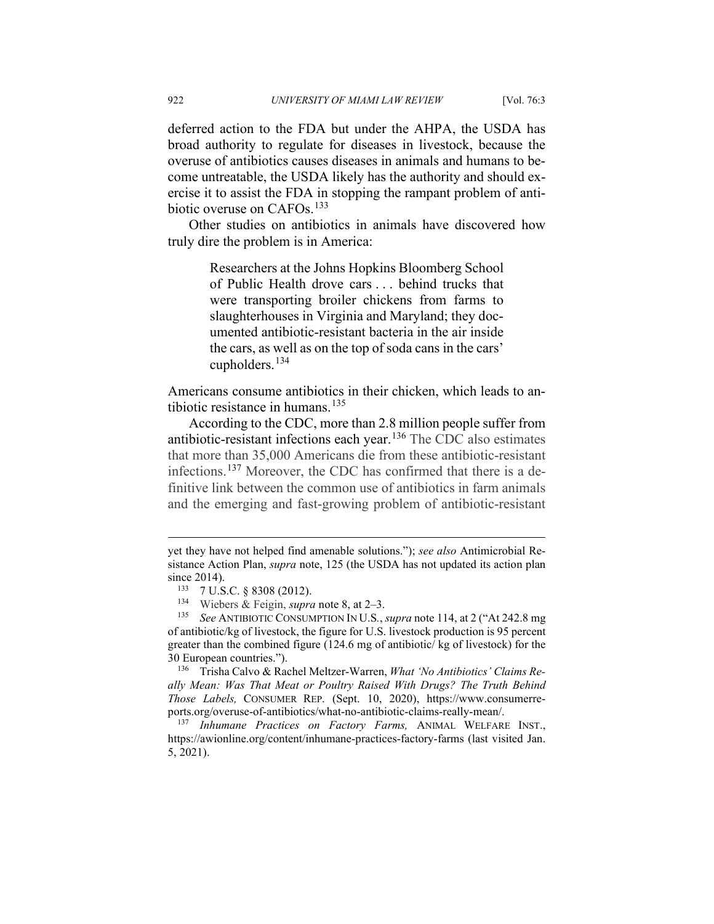deferred action to the FDA but under the AHPA, the USDA has broad authority to regulate for diseases in livestock, because the overuse of antibiotics causes diseases in animals and humans to become untreatable, the USDA likely has the authority and should exercise it to assist the FDA in stopping the rampant problem of anti-biotic overuse on CAFOs.<sup>[133](#page-23-0)</sup>

Other studies on antibiotics in animals have discovered how truly dire the problem is in America:

> Researchers at the Johns Hopkins Bloomberg School of Public Health drove cars . . . behind trucks that were transporting broiler chickens from farms to slaughterhouses in Virginia and Maryland; they documented antibiotic-resistant bacteria in the air inside the cars, as well as on the top of soda cans in the cars' cupholders.  $134$

Americans consume antibiotics in their chicken, which leads to antibiotic resistance in humans. $135$ 

According to the CDC, more than 2.8 million people suffer from antibiotic-resistant infections each year.<sup>[136](#page-23-3)</sup> The CDC also estimates that more than 35,000 Americans die from these antibiotic-resistant infections.[137](#page-23-4) Moreover, the CDC has confirmed that there is a definitive link between the common use of antibiotics in farm animals and the emerging and fast-growing problem of antibiotic-resistant

<span id="page-23-3"></span><sup>136</sup> Trisha Calvo & Rachel Meltzer-Warren, *What 'No Antibiotics' Claims Really Mean: Was That Meat or Poultry Raised With Drugs? The Truth Behind Those Labels,* CONSUMER REP. (Sept. 10, 2020), https://www.consumerreports.org/overuse-of-antibiotics/what-no-antibiotic-claims-really-mean/.

<span id="page-23-4"></span><sup>137</sup> *Inhumane Practices on Factory Farms,* ANIMAL WELFARE INST., https://awionline.org/content/inhumane-practices-factory-farms (last visited Jan. 5, 2021).

yet they have not helped find amenable solutions."); *see also* Antimicrobial Resistance Action Plan, *supra* note, 125 (the USDA has not updated its action plan since 2014).

<sup>133</sup> 7 U.S.C. § 8308 (2012).

<sup>134</sup> Wiebers & Feigin, *supra* note [8,](#page-3-8) at 2–3.<br><sup>135</sup> See ANTIBIOTIC CONSUMPTION IN U.S.

<span id="page-23-2"></span><span id="page-23-1"></span><span id="page-23-0"></span><sup>135</sup> *See* ANTIBIOTIC CONSUMPTION IN U.S*.*, *supra* note 114, at 2 ("At 242.8 mg of antibiotic/kg of livestock, the figure for U.S. livestock production is 95 percent greater than the combined figure (124.6 mg of antibiotic/ kg of livestock) for the 30 European countries.").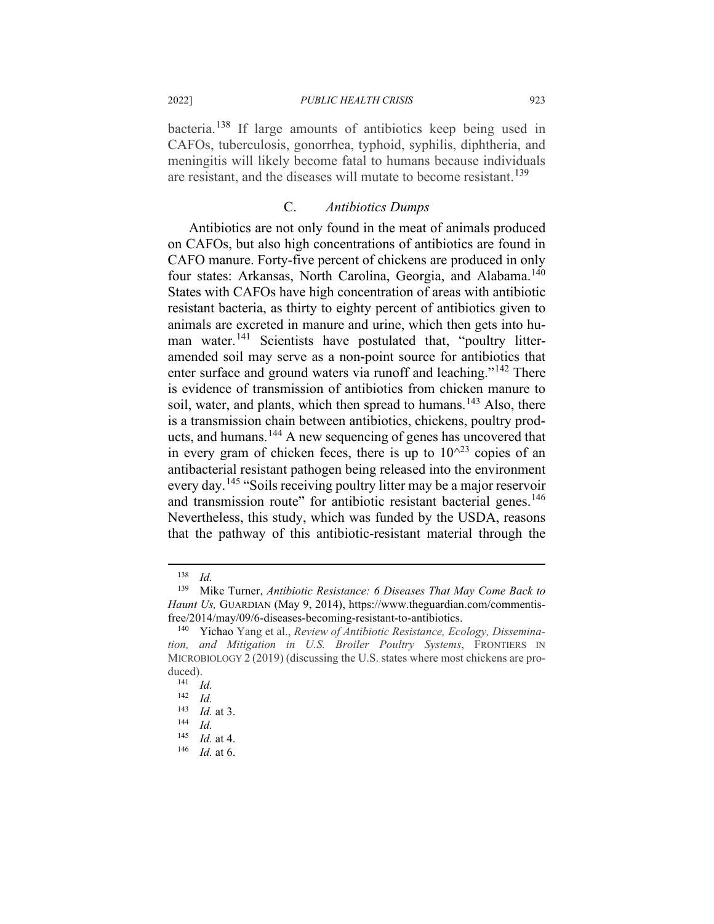bacteria.[138](#page-24-0) If large amounts of antibiotics keep being used in CAFOs, tuberculosis, gonorrhea, typhoid, syphilis, diphtheria, and meningitis will likely become fatal to humans because individuals are resistant, and the diseases will mutate to become resistant.<sup>[139](#page-24-1)</sup>

#### C. *Antibiotics Dumps*

Antibiotics are not only found in the meat of animals produced on CAFOs, but also high concentrations of antibiotics are found in CAFO manure. Forty-five percent of chickens are produced in only four states: Arkansas, North Carolina, Georgia, and Alabama.<sup>[140](#page-24-2)</sup> States with CAFOs have high concentration of areas with antibiotic resistant bacteria, as thirty to eighty percent of antibiotics given to animals are excreted in manure and urine, which then gets into hu-man water.<sup>[141](#page-24-3)</sup> Scientists have postulated that, "poultry litteramended soil may serve as a non-point source for antibiotics that enter surface and ground waters via runoff and leaching."<sup>[142](#page-24-4)</sup> There is evidence of transmission of antibiotics from chicken manure to soil, water, and plants, which then spread to humans.<sup>[143](#page-24-5)</sup> Also, there is a transmission chain between antibiotics, chickens, poultry products, and humans.[144](#page-24-6) A new sequencing of genes has uncovered that in every gram of chicken feces, there is up to  $10^{\wedge}$ <sup>23</sup> copies of an antibacterial resistant pathogen being released into the environment every day.<sup>[145](#page-24-7)</sup> "Soils receiving poultry litter may be a major reservoir and transmission route" for antibiotic resistant bacterial genes.<sup>[146](#page-24-8)</sup> Nevertheless, this study, which was funded by the USDA, reasons that the pathway of this antibiotic-resistant material through the

<sup>138</sup> *Id.*

<span id="page-24-1"></span><span id="page-24-0"></span><sup>139</sup> Mike Turner, *Antibiotic Resistance: 6 Diseases That May Come Back to Haunt Us,* GUARDIAN (May 9, 2014), https://www.theguardian.com/commentisfree/2014/may/09/6-diseases-becoming-resistant-to-antibiotics.

<span id="page-24-3"></span><span id="page-24-2"></span><sup>140</sup> Yichao Yang et al., *Review of Antibiotic Resistance, Ecology, Dissemination, and Mitigation in U.S. Broiler Poultry Systems*, FRONTIERS IN MICROBIOLOGY 2 (2019) (discussing the U.S. states where most chickens are produced).

 $\frac{141}{142}$  *Id.* 

<span id="page-24-4"></span> $\frac{142}{143}$  *Id.* 

 $\frac{143}{144}$  *Id.* at 3.

<span id="page-24-7"></span><span id="page-24-6"></span><span id="page-24-5"></span> $\frac{144}{145}$  *Id.* 

<span id="page-24-8"></span> $\frac{145}{146}$  *Id.* at 4.

*Id.* at 6.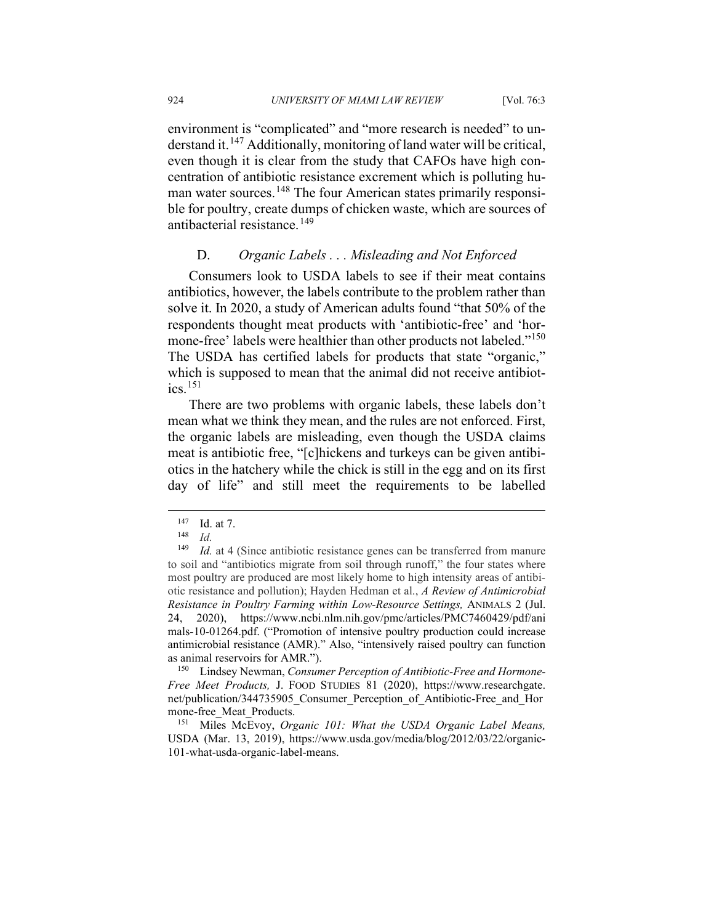environment is "complicated" and "more research is needed" to un-derstand it.<sup>[147](#page-25-0)</sup> Additionally, monitoring of land water will be critical, even though it is clear from the study that CAFOs have high concentration of antibiotic resistance excrement which is polluting hu-man water sources.<sup>[148](#page-25-1)</sup> The four American states primarily responsible for poultry, create dumps of chicken waste, which are sources of antibacterial resistance.<sup>[149](#page-25-2)</sup>

## D. *Organic Labels . . . Misleading and Not Enforced*

Consumers look to USDA labels to see if their meat contains antibiotics, however, the labels contribute to the problem rather than solve it. In 2020, a study of American adults found "that 50% of the respondents thought meat products with 'antibiotic-free' and 'hor-mone-free' labels were healthier than other products not labeled."<sup>[150](#page-25-3)</sup> The USDA has certified labels for products that state "organic," which is supposed to mean that the animal did not receive antibiotics.  $^{151}$  $^{151}$  $^{151}$ 

There are two problems with organic labels, these labels don't mean what we think they mean, and the rules are not enforced. First, the organic labels are misleading, even though the USDA claims meat is antibiotic free, "[c]hickens and turkeys can be given antibiotics in the hatchery while the chick is still in the egg and on its first day of life" and still meet the requirements to be labelled

<span id="page-25-3"></span><sup>150</sup> Lindsey Newman, *Consumer Perception of Antibiotic-Free and Hormone-Free Meet Products,* J. FOOD STUDIES 81 (2020), https://www.researchgate. net/publication/344735905\_Consumer\_Perception\_of\_Antibiotic-Free\_and\_Hor mone-free Meat Products.

<span id="page-25-4"></span><sup>151</sup> Miles McEvoy, *Organic 101: What the USDA Organic Label Means,*  USDA (Mar. 13, 2019), https://www.usda.gov/media/blog/2012/03/22/organic-101-what-usda-organic-label-means.

<sup>147</sup> **Id. at 7.**<br><sup>148</sup> *Id.*<br><sup>149</sup> *Id.* at 4

<span id="page-25-2"></span><span id="page-25-1"></span><span id="page-25-0"></span>*Id.* at 4 (Since antibiotic resistance genes can be transferred from manure to soil and "antibiotics migrate from soil through runoff," the four states where most poultry are produced are most likely home to high intensity areas of antibiotic resistance and pollution); Hayden Hedman et al., *A Review of Antimicrobial Resistance in Poultry Farming within Low-Resource Settings,* ANIMALS 2 (Jul. 24, 2020), https://www.ncbi.nlm.nih.gov/pmc/articles/PMC7460429/pdf/ani mals-10-01264.pdf. ("Promotion of intensive poultry production could increase antimicrobial resistance (AMR)." Also, "intensively raised poultry can function as animal reservoirs for AMR.").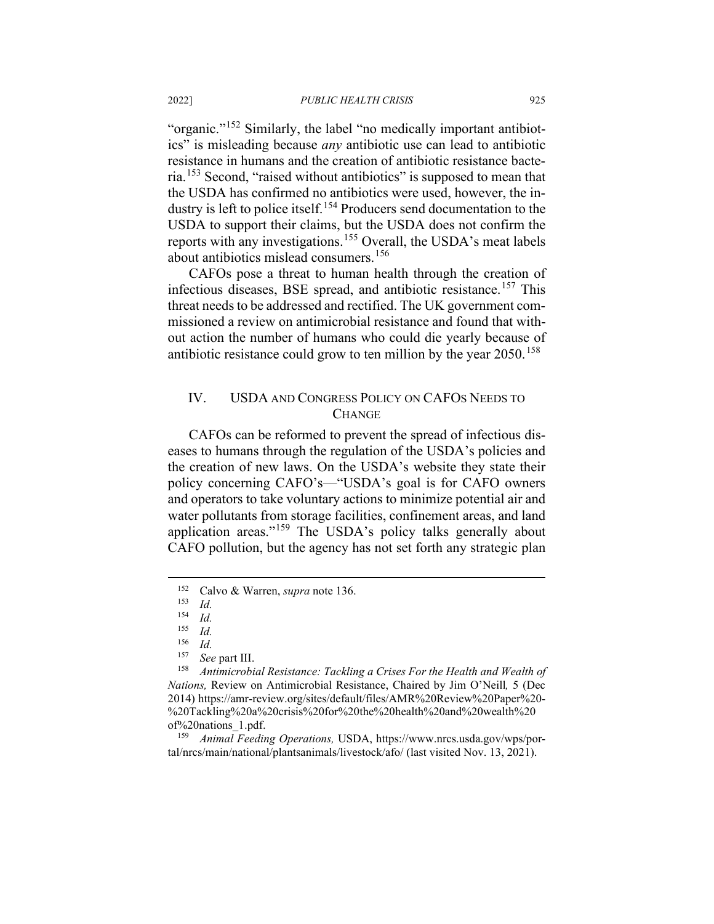"organic."[152](#page-26-0) Similarly, the label "no medically important antibiotics" is misleading because *any* antibiotic use can lead to antibiotic resistance in humans and the creation of antibiotic resistance bacteria.[153](#page-26-1) Second, "raised without antibiotics" is supposed to mean that the USDA has confirmed no antibiotics were used, however, the in-dustry is left to police itself.<sup>[154](#page-26-2)</sup> Producers send documentation to the USDA to support their claims, but the USDA does not confirm the reports with any investigations.[155](#page-26-3) Overall, the USDA's meat labels about antibiotics mislead consumers.<sup>[156](#page-26-4)</sup>

CAFOs pose a threat to human health through the creation of infectious diseases, BSE spread, and antibiotic resistance.<sup>[157](#page-26-5)</sup> This threat needs to be addressed and rectified. The UK government commissioned a review on antimicrobial resistance and found that without action the number of humans who could die yearly because of antibiotic resistance could grow to ten million by the year  $2050$ .<sup>[158](#page-26-6)</sup>

## IV. USDA AND CONGRESS POLICY ON CAFOS NEEDS TO **CHANGE**

CAFOs can be reformed to prevent the spread of infectious diseases to humans through the regulation of the USDA's policies and the creation of new laws. On the USDA's website they state their policy concerning CAFO's––"USDA's goal is for CAFO owners and operators to take voluntary actions to minimize potential air and water pollutants from storage facilities, confinement areas, and land application areas."<sup>[159](#page-26-7)</sup> The USDA's policy talks generally about CAFO pollution, but the agency has not set forth any strategic plan

<span id="page-26-0"></span><sup>152</sup> Calvo & Warren, *supra* note 136.

<span id="page-26-1"></span> $\frac{153}{154}$  *Id.* 

 $\frac{154}{155}$  *Id.* 

 $\frac{155}{156}$  *Id.* 

 $\frac{156}{157}$  *Id.* 

See part III.

<span id="page-26-6"></span><span id="page-26-5"></span><span id="page-26-4"></span><span id="page-26-3"></span><span id="page-26-2"></span><sup>158</sup> *Antimicrobial Resistance: Tackling a Crises For the Health and Wealth of Nations,* Review on Antimicrobial Resistance, Chaired by Jim O'Neill*,* 5 (Dec 2014) https://amr-review.org/sites/default/files/AMR%20Review%20Paper%20- %20Tackling%20a%20crisis%20for%20the%20health%20and%20wealth%20 of%20nations\_1.pdf.<br> $\frac{159}{\text{Animal Feedir}}$ 

<span id="page-26-7"></span><sup>159</sup> *Animal Feeding Operations,* USDA, https://www.nrcs.usda.gov/wps/portal/nrcs/main/national/plantsanimals/livestock/afo/ (last visited Nov. 13, 2021).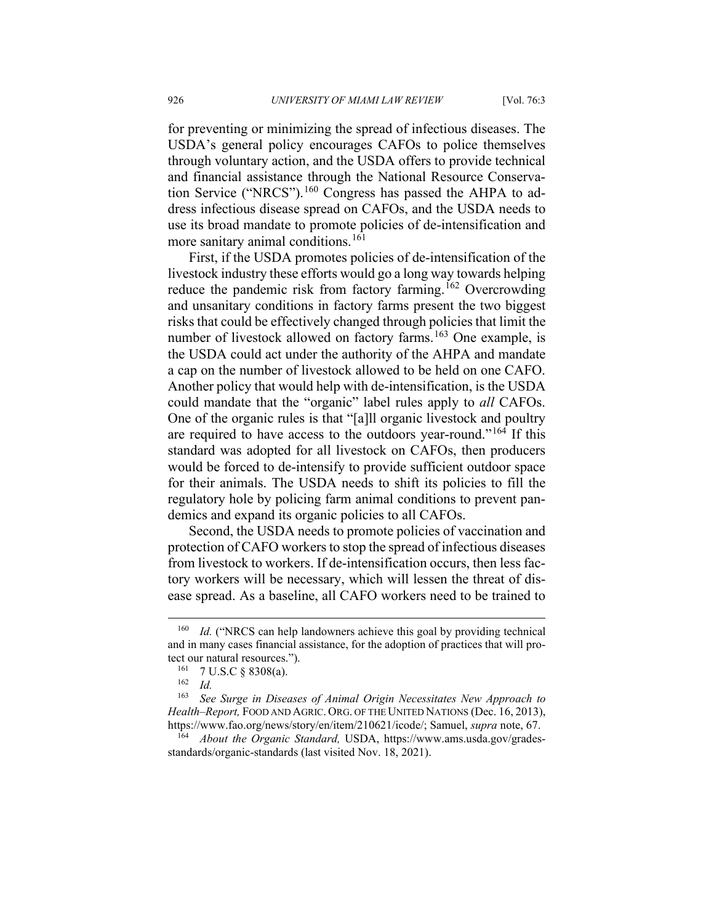for preventing or minimizing the spread of infectious diseases. The USDA's general policy encourages CAFOs to police themselves through voluntary action, and the USDA offers to provide technical and financial assistance through the National Resource Conserva-tion Service ("NRCS").<sup>[160](#page-27-0)</sup> Congress has passed the AHPA to address infectious disease spread on CAFOs, and the USDA needs to use its broad mandate to promote policies of de-intensification and more sanitary animal conditions.<sup>[161](#page-27-1)</sup>

First, if the USDA promotes policies of de-intensification of the livestock industry these efforts would go a long way towards helping reduce the pandemic risk from factory farming.<sup>[162](#page-27-2)</sup> Overcrowding and unsanitary conditions in factory farms present the two biggest risks that could be effectively changed through policies that limit the number of livestock allowed on factory farms.<sup>[163](#page-27-3)</sup> One example, is the USDA could act under the authority of the AHPA and mandate a cap on the number of livestock allowed to be held on one CAFO. Another policy that would help with de-intensification, is the USDA could mandate that the "organic" label rules apply to *all* CAFOs. One of the organic rules is that "[a]ll organic livestock and poultry are required to have access to the outdoors year-round."<sup>[164](#page-27-4)</sup> If this standard was adopted for all livestock on CAFOs, then producers would be forced to de-intensify to provide sufficient outdoor space for their animals. The USDA needs to shift its policies to fill the regulatory hole by policing farm animal conditions to prevent pandemics and expand its organic policies to all CAFOs.

Second, the USDA needs to promote policies of vaccination and protection of CAFO workers to stop the spread of infectious diseases from livestock to workers. If de-intensification occurs, then less factory workers will be necessary, which will lessen the threat of disease spread. As a baseline, all CAFO workers need to be trained to

<span id="page-27-0"></span><sup>&</sup>lt;sup>160</sup> *Id.* ("NRCS can help landowners achieve this goal by providing technical and in many cases financial assistance, for the adoption of practices that will protect our natural resources.").

<sup>161</sup> 7 U.S.C § 8308(a).

 $\frac{162}{163}$  *Id.* 

<span id="page-27-3"></span><span id="page-27-2"></span><span id="page-27-1"></span>See Surge in Diseases of Animal Origin Necessitates New Approach to *Health–Report,* FOOD AND AGRIC. ORG. OF THE UNITED NATIONS (Dec. 16, 2013), https://www.fao.org/news/story/en/item/210621/icode/; Samuel, *supra* note, 67.

<span id="page-27-4"></span><sup>164</sup> *About the Organic Standard,* USDA, https://www.ams.usda.gov/gradesstandards/organic-standards (last visited Nov. 18, 2021).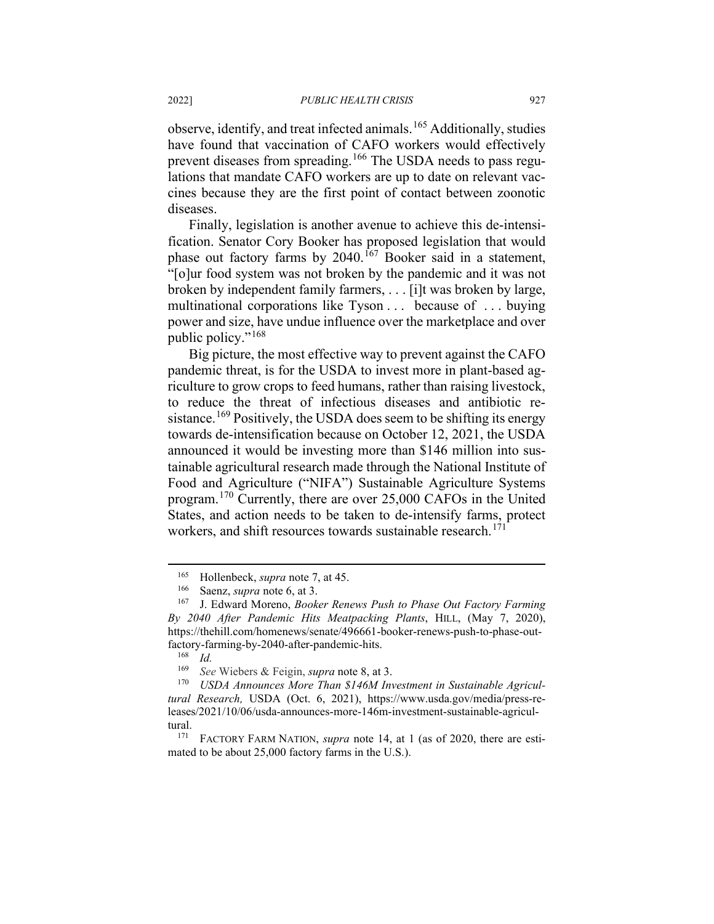observe, identify, and treat infected animals.[165](#page-28-0) Additionally, studies have found that vaccination of CAFO workers would effectively prevent diseases from spreading.<sup>[166](#page-28-1)</sup> The USDA needs to pass regulations that mandate CAFO workers are up to date on relevant vaccines because they are the first point of contact between zoonotic diseases.

Finally, legislation is another avenue to achieve this de-intensification. Senator Cory Booker has proposed legislation that would phase out factory farms by  $2040$ .<sup>[167](#page-28-2)</sup> Booker said in a statement, "[o]ur food system was not broken by the pandemic and it was not broken by independent family farmers, . . . [i]t was broken by large, multinational corporations like Tyson . . . because of . . . buying power and size, have undue influence over the marketplace and over public policy."<sup>[168](#page-28-3)</sup>

Big picture, the most effective way to prevent against the CAFO pandemic threat, is for the USDA to invest more in plant-based agriculture to grow crops to feed humans, rather than raising livestock, to reduce the threat of infectious diseases and antibiotic re-sistance.<sup>[169](#page-28-4)</sup> Positively, the USDA does seem to be shifting its energy towards de-intensification because on October 12, 2021, the USDA announced it would be investing more than \$146 million into sustainable agricultural research made through the National Institute of Food and Agriculture ("NIFA") Sustainable Agriculture Systems program.[170](#page-28-5) Currently, there are over 25,000 CAFOs in the United States, and action needs to be taken to de-intensify farms, protect workers, and shift resources towards sustainable research.<sup>[171](#page-28-6)</sup>

<sup>&</sup>lt;sup>165</sup> Hollenbeck, *supra* note 7, at 45.<br><sup>166</sup> Saenz, *supra* pote 6, at 3

Saenz, *supra* note 6, at 3.

<span id="page-28-2"></span><span id="page-28-1"></span><span id="page-28-0"></span><sup>167</sup> J. Edward Moreno, *Booker Renews Push to Phase Out Factory Farming By 2040 After Pandemic Hits Meatpacking Plants*, HILL, (May 7, 2020), https://thehill.com/homenews/senate/496661-booker-renews-push-to-phase-outfactory-farming-by-2040-after-pandemic-hits.

 $\frac{168}{169}$  *Id.* 

See Wiebers & Feigin, *supra* note 8, at 3.

<span id="page-28-5"></span><span id="page-28-4"></span><span id="page-28-3"></span><sup>170</sup> *USDA Announces More Than \$146M Investment in Sustainable Agricultural Research,* USDA (Oct. 6, 2021), https://www.usda.gov/media/press-releases/2021/10/06/usda-announces-more-146m-investment-sustainable-agricultural.<br> $\frac{171}{171}$ 

<span id="page-28-6"></span>FACTORY FARM NATION, *supra* note 14, at 1 (as of 2020, there are estimated to be about 25,000 factory farms in the U.S.).